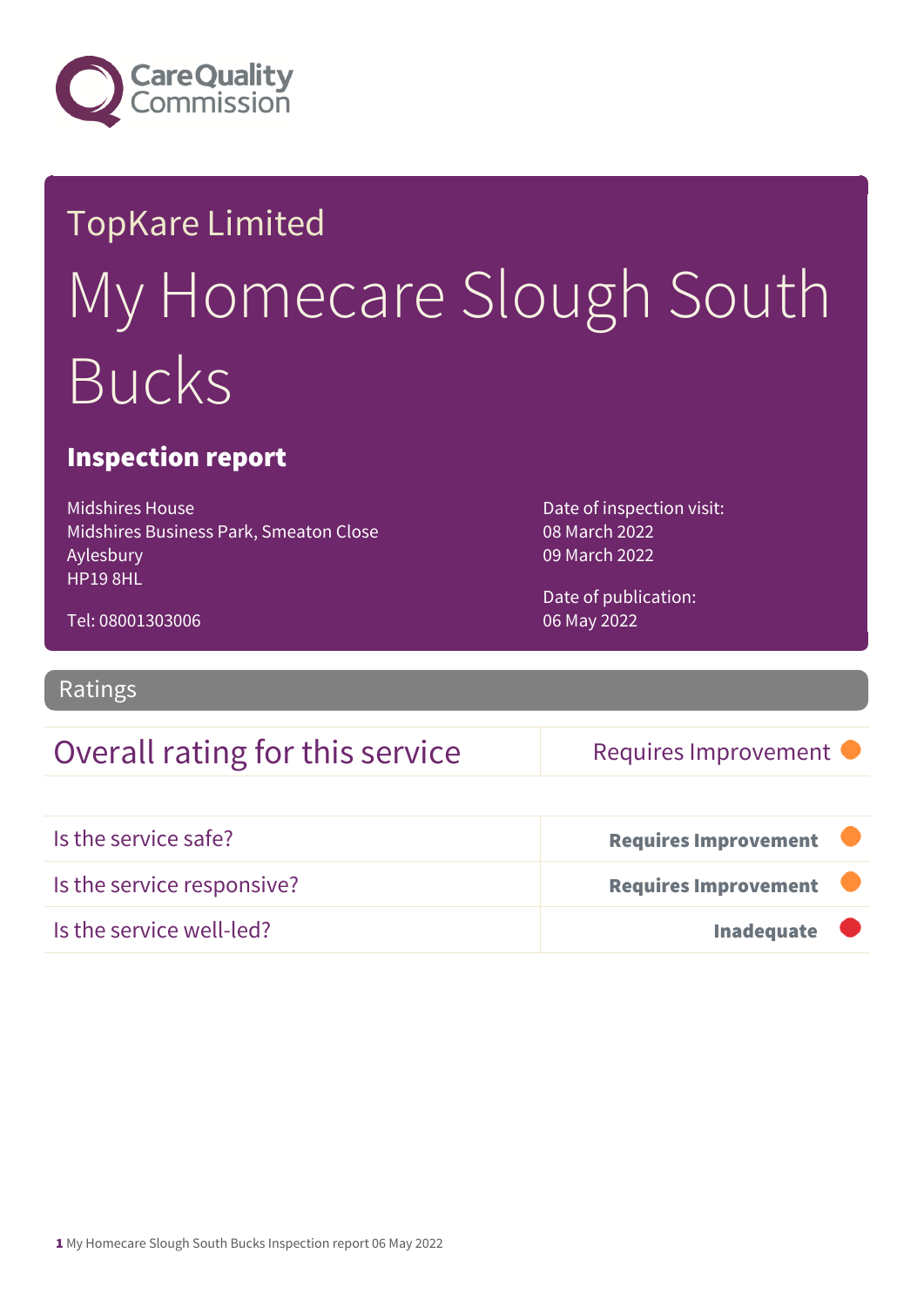

# TopKare Limited My Homecare Slough South Bucks

### Inspection report

Midshires House Midshires Business Park, Smeaton Close Aylesbury HP19 8HL

Tel: 08001303006

Date of inspection visit: 08 March 2022 09 March 2022

Date of publication: 06 May 2022

Ratings

### Overall rating for this service Requires Improvement

| Is the service safe?       | <b>Requires Improvement</b> |  |
|----------------------------|-----------------------------|--|
| Is the service responsive? | Requires Improvement        |  |
| Is the service well-led?   | <b>Inadequate</b>           |  |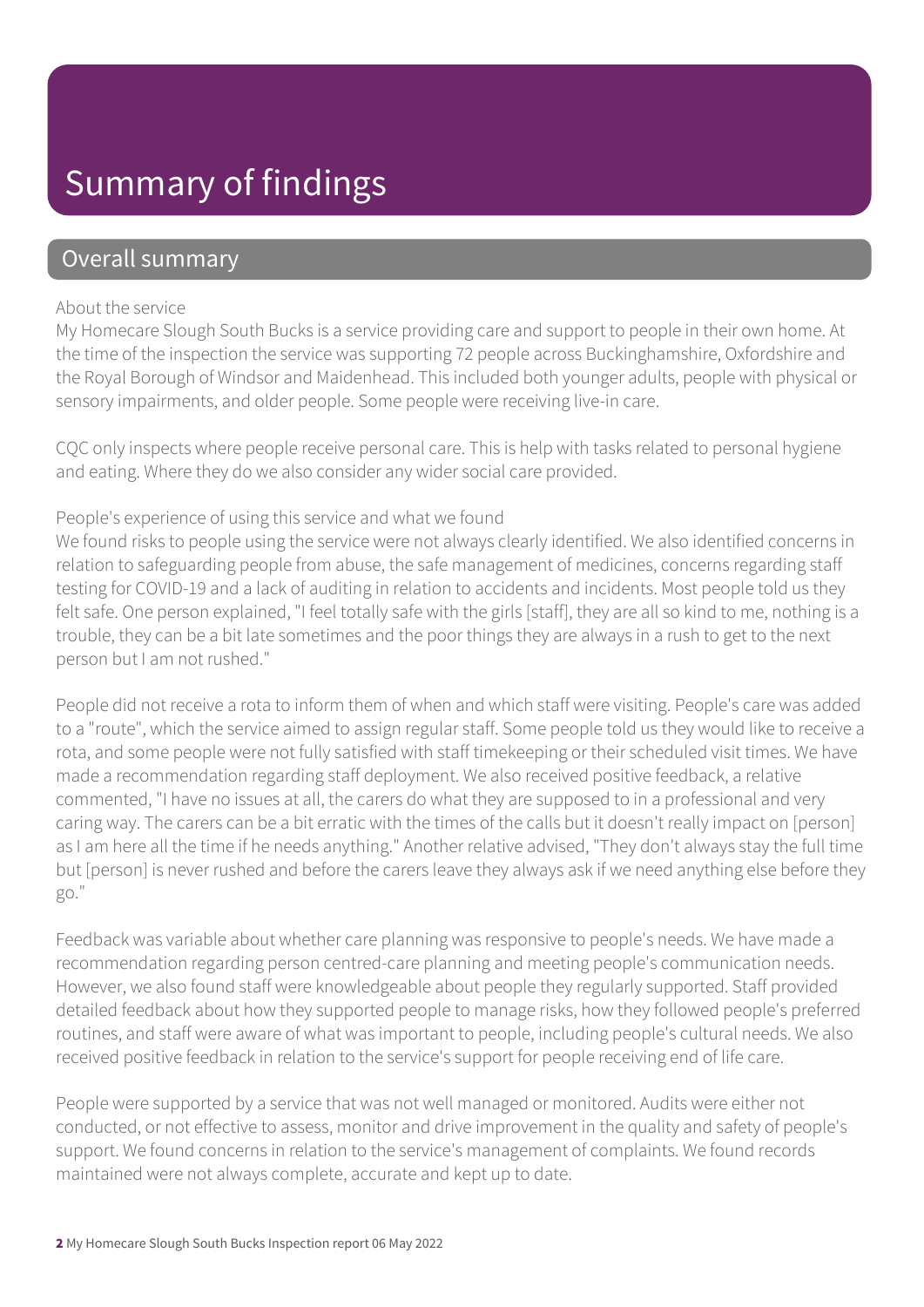## Summary of findings

### Overall summary

#### About the service

My Homecare Slough South Bucks is a service providing care and support to people in their own home. At the time of the inspection the service was supporting 72 people across Buckinghamshire, Oxfordshire and the Royal Borough of Windsor and Maidenhead. This included both younger adults, people with physical or sensory impairments, and older people. Some people were receiving live-in care.

CQC only inspects where people receive personal care. This is help with tasks related to personal hygiene and eating. Where they do we also consider any wider social care provided.

#### People's experience of using this service and what we found

We found risks to people using the service were not always clearly identified. We also identified concerns in relation to safeguarding people from abuse, the safe management of medicines, concerns regarding staff testing for COVID-19 and a lack of auditing in relation to accidents and incidents. Most people told us they felt safe. One person explained, "I feel totally safe with the girls [staff], they are all so kind to me, nothing is a trouble, they can be a bit late sometimes and the poor things they are always in a rush to get to the next person but I am not rushed."

People did not receive a rota to inform them of when and which staff were visiting. People's care was added to a "route", which the service aimed to assign regular staff. Some people told us they would like to receive a rota, and some people were not fully satisfied with staff timekeeping or their scheduled visit times. We have made a recommendation regarding staff deployment. We also received positive feedback, a relative commented, "I have no issues at all, the carers do what they are supposed to in a professional and very caring way. The carers can be a bit erratic with the times of the calls but it doesn't really impact on [person] as I am here all the time if he needs anything." Another relative advised, "They don't always stay the full time but [person] is never rushed and before the carers leave they always ask if we need anything else before they go."

Feedback was variable about whether care planning was responsive to people's needs. We have made a recommendation regarding person centred-care planning and meeting people's communication needs. However, we also found staff were knowledgeable about people they regularly supported. Staff provided detailed feedback about how they supported people to manage risks, how they followed people's preferred routines, and staff were aware of what was important to people, including people's cultural needs. We also received positive feedback in relation to the service's support for people receiving end of life care.

People were supported by a service that was not well managed or monitored. Audits were either not conducted, or not effective to assess, monitor and drive improvement in the quality and safety of people's support. We found concerns in relation to the service's management of complaints. We found records maintained were not always complete, accurate and kept up to date.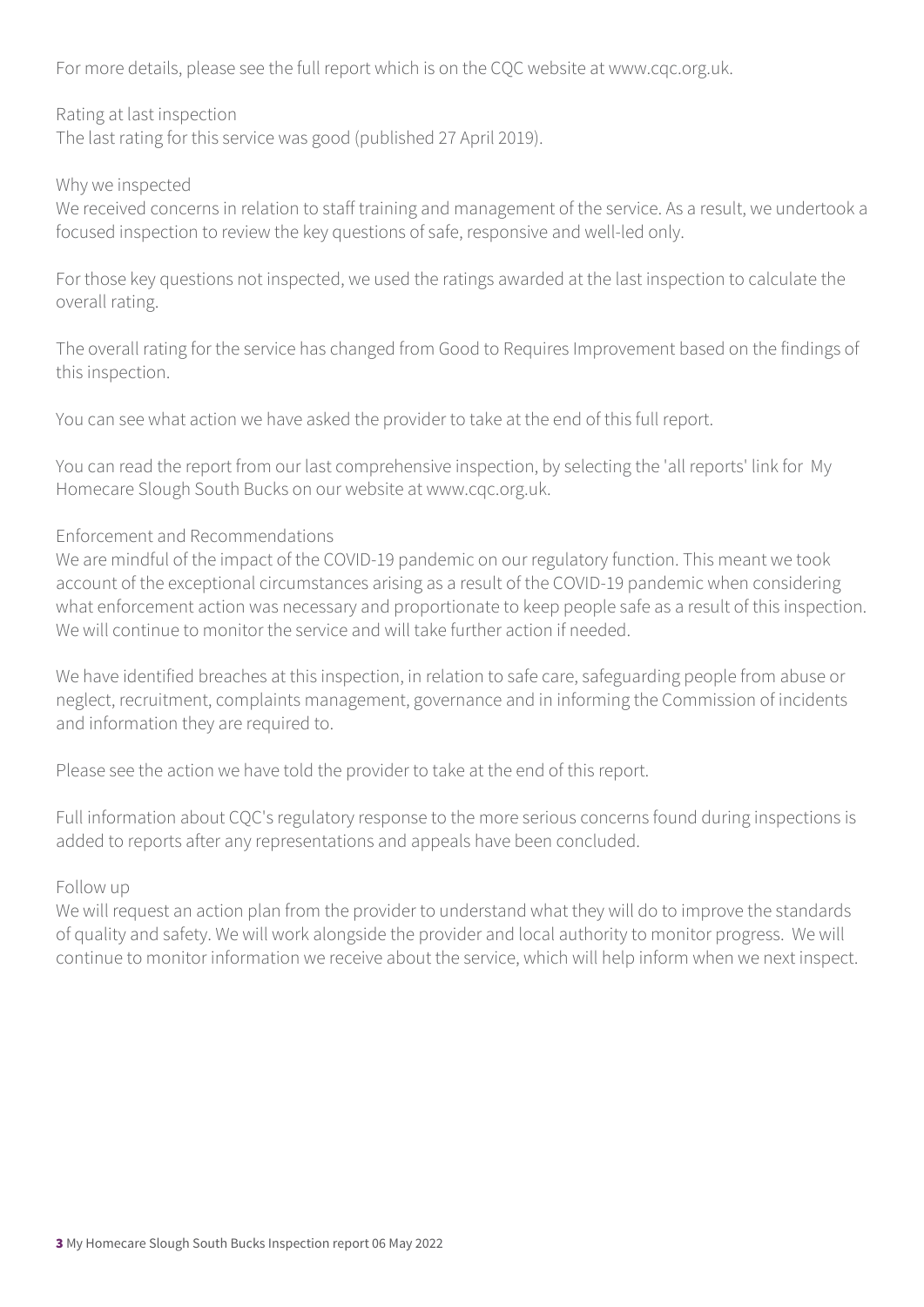For more details, please see the full report which is on the CQC website at www.cqc.org.uk.

Rating at last inspection

The last rating for this service was good (published 27 April 2019).

Why we inspected

We received concerns in relation to staff training and management of the service. As a result, we undertook a focused inspection to review the key questions of safe, responsive and well-led only.

For those key questions not inspected, we used the ratings awarded at the last inspection to calculate the overall rating.

The overall rating for the service has changed from Good to Requires Improvement based on the findings of this inspection.

You can see what action we have asked the provider to take at the end of this full report.

You can read the report from our last comprehensive inspection, by selecting the 'all reports' link for My Homecare Slough South Bucks on our website at www.cqc.org.uk.

#### Enforcement and Recommendations

We are mindful of the impact of the COVID-19 pandemic on our regulatory function. This meant we took account of the exceptional circumstances arising as a result of the COVID-19 pandemic when considering what enforcement action was necessary and proportionate to keep people safe as a result of this inspection. We will continue to monitor the service and will take further action if needed.

We have identified breaches at this inspection, in relation to safe care, safeguarding people from abuse or neglect, recruitment, complaints management, governance and in informing the Commission of incidents and information they are required to.

Please see the action we have told the provider to take at the end of this report.

Full information about CQC's regulatory response to the more serious concerns found during inspections is added to reports after any representations and appeals have been concluded.

#### Follow up

We will request an action plan from the provider to understand what they will do to improve the standards of quality and safety. We will work alongside the provider and local authority to monitor progress. We will continue to monitor information we receive about the service, which will help inform when we next inspect.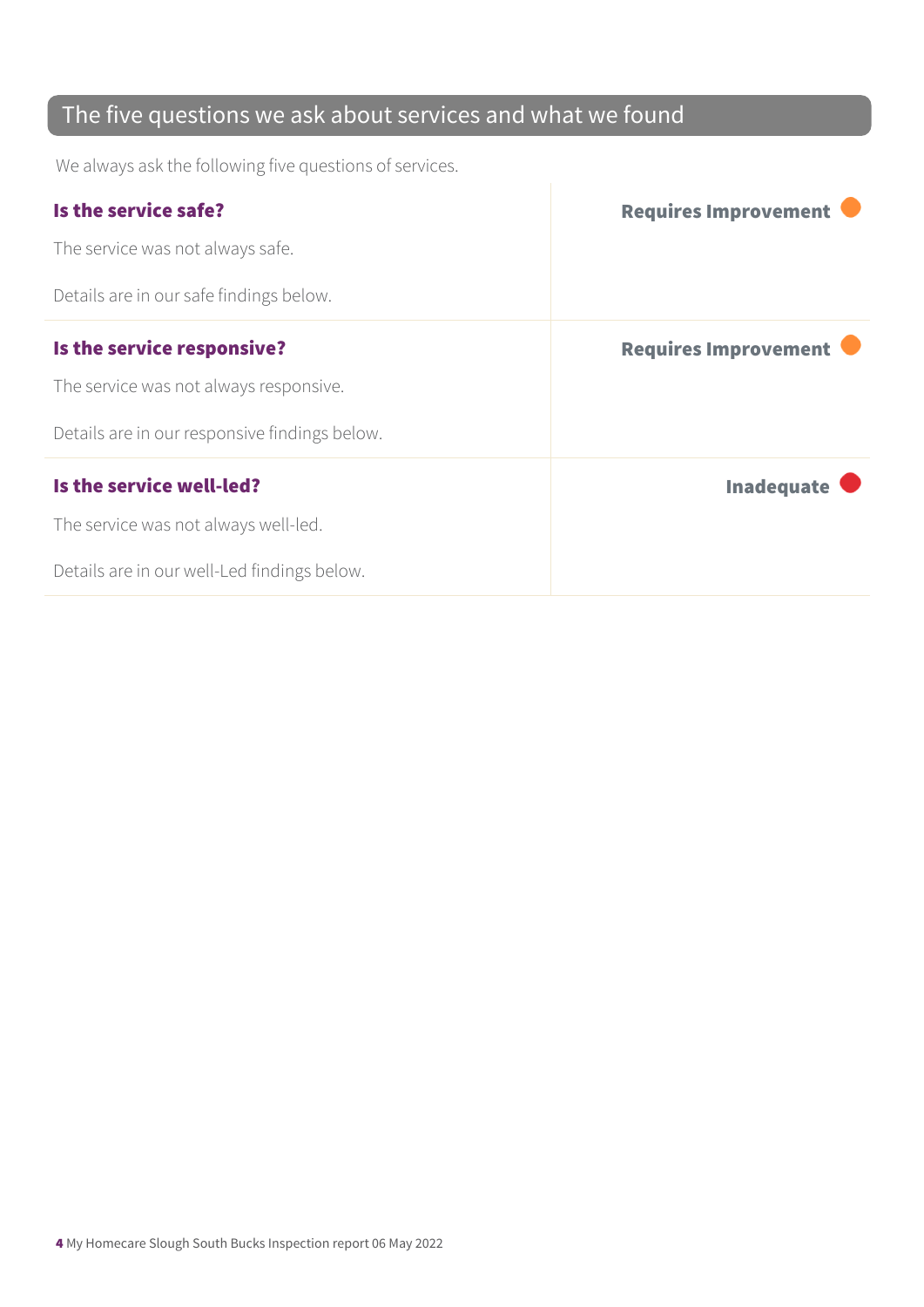### The five questions we ask about services and what we found

We always ask the following five questions of services.

| Is the service safe?                          | <b>Requires Improvement</b> |
|-----------------------------------------------|-----------------------------|
| The service was not always safe.              |                             |
| Details are in our safe findings below.       |                             |
| Is the service responsive?                    | <b>Requires Improvement</b> |
| The service was not always responsive.        |                             |
| Details are in our responsive findings below. |                             |
| Is the service well-led?                      | <b>Inadequate</b>           |
| The service was not always well-led.          |                             |
| Details are in our well-Led findings below.   |                             |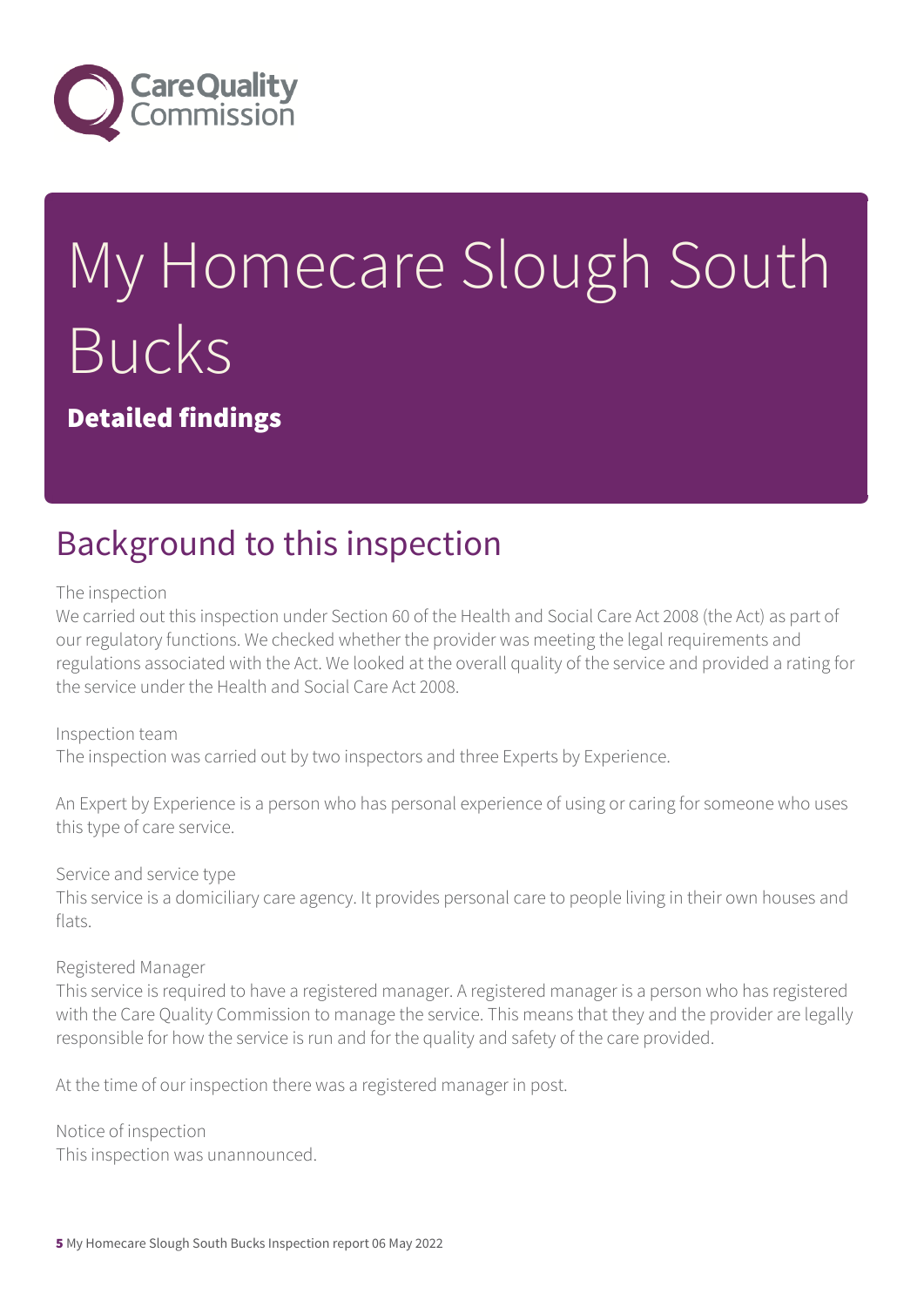

# My Homecare Slough South Bucks

Detailed findings

## Background to this inspection

The inspection

We carried out this inspection under Section 60 of the Health and Social Care Act 2008 (the Act) as part of our regulatory functions. We checked whether the provider was meeting the legal requirements and regulations associated with the Act. We looked at the overall quality of the service and provided a rating for the service under the Health and Social Care Act 2008.

Inspection team The inspection was carried out by two inspectors and three Experts by Experience.

An Expert by Experience is a person who has personal experience of using or caring for someone who uses this type of care service.

Service and service type

This service is a domiciliary care agency. It provides personal care to people living in their own houses and flats.

Registered Manager

This service is required to have a registered manager. A registered manager is a person who has registered with the Care Quality Commission to manage the service. This means that they and the provider are legally responsible for how the service is run and for the quality and safety of the care provided.

At the time of our inspection there was a registered manager in post.

Notice of inspection This inspection was unannounced.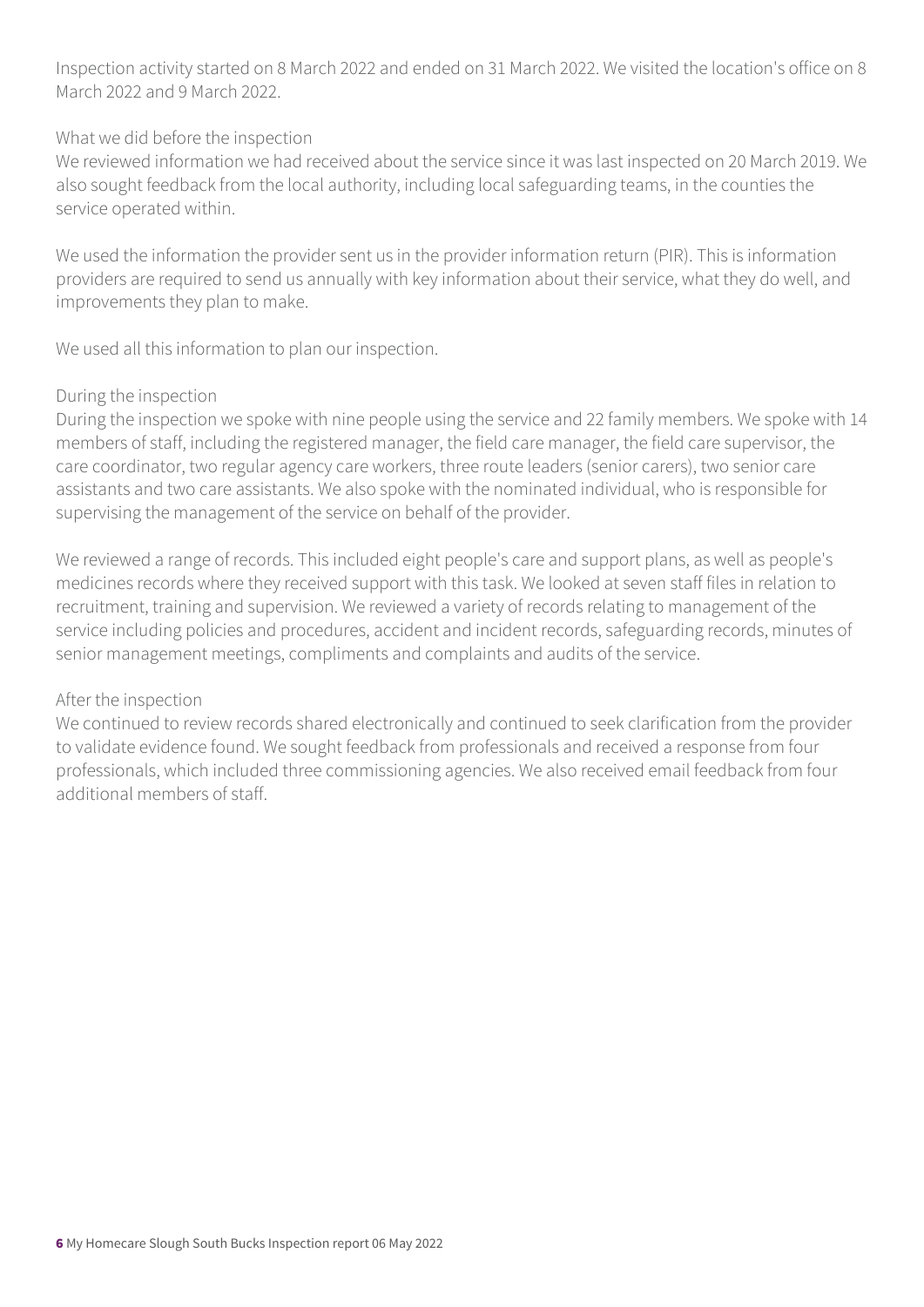Inspection activity started on 8 March 2022 and ended on 31 March 2022. We visited the location's office on 8 March 2022 and 9 March 2022.

#### What we did before the inspection

We reviewed information we had received about the service since it was last inspected on 20 March 2019. We also sought feedback from the local authority, including local safeguarding teams, in the counties the service operated within.

We used the information the provider sent us in the provider information return (PIR). This is information providers are required to send us annually with key information about their service, what they do well, and improvements they plan to make.

We used all this information to plan our inspection.

#### During the inspection

During the inspection we spoke with nine people using the service and 22 family members. We spoke with 14 members of staff, including the registered manager, the field care manager, the field care supervisor, the care coordinator, two regular agency care workers, three route leaders (senior carers), two senior care assistants and two care assistants. We also spoke with the nominated individual, who is responsible for supervising the management of the service on behalf of the provider.

We reviewed a range of records. This included eight people's care and support plans, as well as people's medicines records where they received support with this task. We looked at seven staff files in relation to recruitment, training and supervision. We reviewed a variety of records relating to management of the service including policies and procedures, accident and incident records, safeguarding records, minutes of senior management meetings, compliments and complaints and audits of the service.

#### After the inspection

We continued to review records shared electronically and continued to seek clarification from the provider to validate evidence found. We sought feedback from professionals and received a response from four professionals, which included three commissioning agencies. We also received email feedback from four additional members of staff.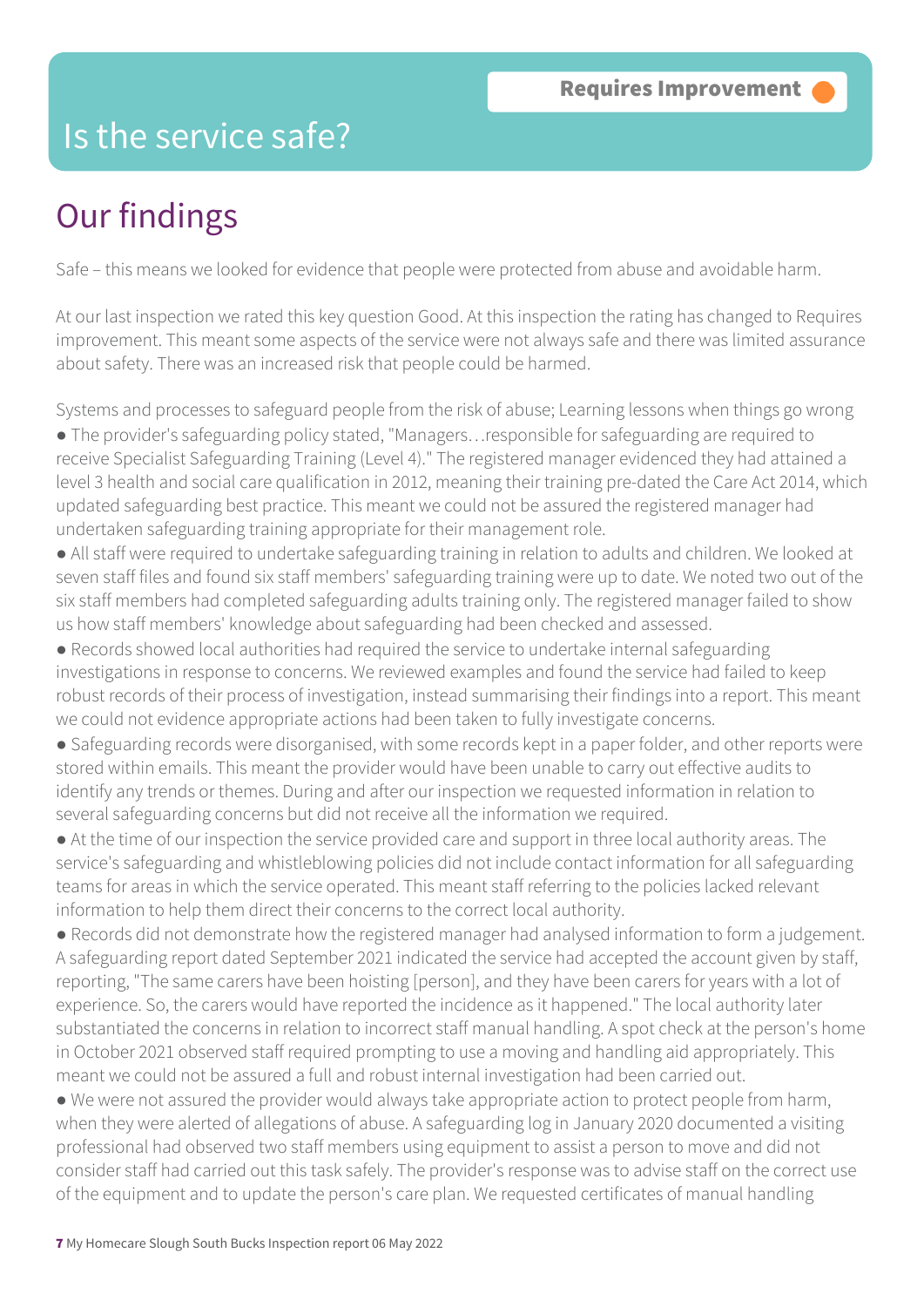### Is the service safe?

# Our findings

Safe – this means we looked for evidence that people were protected from abuse and avoidable harm.

At our last inspection we rated this key question Good. At this inspection the rating has changed to Requires improvement. This meant some aspects of the service were not always safe and there was limited assurance about safety. There was an increased risk that people could be harmed.

Systems and processes to safeguard people from the risk of abuse; Learning lessons when things go wrong ● The provider's safeguarding policy stated, "Managers…responsible for safeguarding are required to receive Specialist Safeguarding Training (Level 4)." The registered manager evidenced they had attained a level 3 health and social care qualification in 2012, meaning their training pre-dated the Care Act 2014, which updated safeguarding best practice. This meant we could not be assured the registered manager had undertaken safeguarding training appropriate for their management role.

● All staff were required to undertake safeguarding training in relation to adults and children. We looked at seven staff files and found six staff members' safeguarding training were up to date. We noted two out of the six staff members had completed safeguarding adults training only. The registered manager failed to show us how staff members' knowledge about safeguarding had been checked and assessed.

● Records showed local authorities had required the service to undertake internal safeguarding investigations in response to concerns. We reviewed examples and found the service had failed to keep robust records of their process of investigation, instead summarising their findings into a report. This meant we could not evidence appropriate actions had been taken to fully investigate concerns.

● Safeguarding records were disorganised, with some records kept in a paper folder, and other reports were stored within emails. This meant the provider would have been unable to carry out effective audits to identify any trends or themes. During and after our inspection we requested information in relation to several safeguarding concerns but did not receive all the information we required.

● At the time of our inspection the service provided care and support in three local authority areas. The service's safeguarding and whistleblowing policies did not include contact information for all safeguarding teams for areas in which the service operated. This meant staff referring to the policies lacked relevant information to help them direct their concerns to the correct local authority.

● Records did not demonstrate how the registered manager had analysed information to form a judgement. A safeguarding report dated September 2021 indicated the service had accepted the account given by staff, reporting, "The same carers have been hoisting [person], and they have been carers for years with a lot of experience. So, the carers would have reported the incidence as it happened." The local authority later substantiated the concerns in relation to incorrect staff manual handling. A spot check at the person's home in October 2021 observed staff required prompting to use a moving and handling aid appropriately. This meant we could not be assured a full and robust internal investigation had been carried out.

• We were not assured the provider would always take appropriate action to protect people from harm, when they were alerted of allegations of abuse. A safeguarding log in January 2020 documented a visiting professional had observed two staff members using equipment to assist a person to move and did not consider staff had carried out this task safely. The provider's response was to advise staff on the correct use of the equipment and to update the person's care plan. We requested certificates of manual handling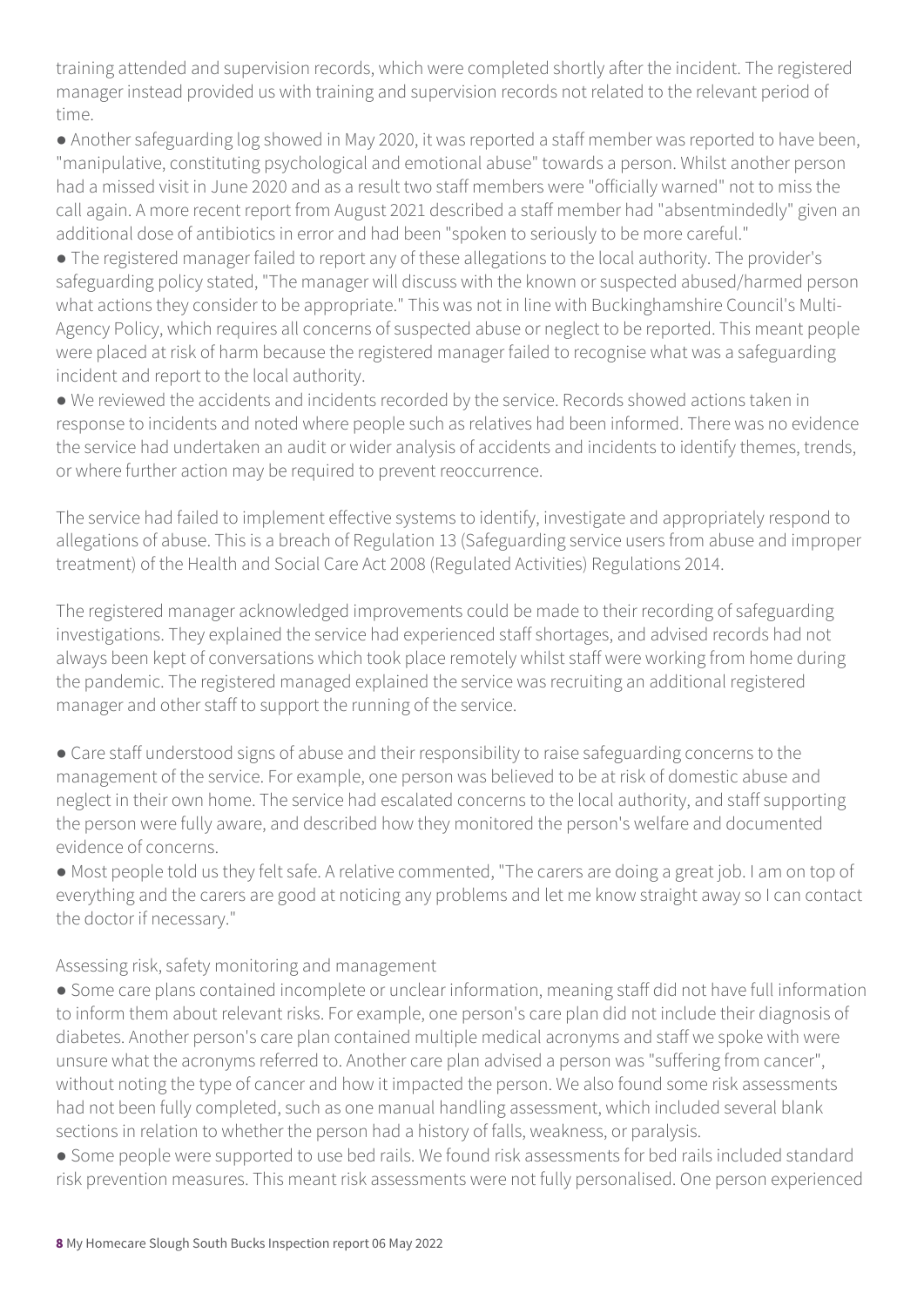training attended and supervision records, which were completed shortly after the incident. The registered manager instead provided us with training and supervision records not related to the relevant period of time.

● Another safeguarding log showed in May 2020, it was reported a staff member was reported to have been, "manipulative, constituting psychological and emotional abuse" towards a person. Whilst another person had a missed visit in June 2020 and as a result two staff members were "officially warned" not to miss the call again. A more recent report from August 2021 described a staff member had "absentmindedly" given an additional dose of antibiotics in error and had been "spoken to seriously to be more careful."

● The registered manager failed to report any of these allegations to the local authority. The provider's safeguarding policy stated, "The manager will discuss with the known or suspected abused/harmed person what actions they consider to be appropriate." This was not in line with Buckinghamshire Council's Multi-Agency Policy, which requires all concerns of suspected abuse or neglect to be reported. This meant people were placed at risk of harm because the registered manager failed to recognise what was a safeguarding incident and report to the local authority.

● We reviewed the accidents and incidents recorded by the service. Records showed actions taken in response to incidents and noted where people such as relatives had been informed. There was no evidence the service had undertaken an audit or wider analysis of accidents and incidents to identify themes, trends, or where further action may be required to prevent reoccurrence.

The service had failed to implement effective systems to identify, investigate and appropriately respond to allegations of abuse. This is a breach of Regulation 13 (Safeguarding service users from abuse and improper treatment) of the Health and Social Care Act 2008 (Regulated Activities) Regulations 2014.

The registered manager acknowledged improvements could be made to their recording of safeguarding investigations. They explained the service had experienced staff shortages, and advised records had not always been kept of conversations which took place remotely whilst staff were working from home during the pandemic. The registered managed explained the service was recruiting an additional registered manager and other staff to support the running of the service.

● Care staff understood signs of abuse and their responsibility to raise safeguarding concerns to the management of the service. For example, one person was believed to be at risk of domestic abuse and neglect in their own home. The service had escalated concerns to the local authority, and staff supporting the person were fully aware, and described how they monitored the person's welfare and documented evidence of concerns.

● Most people told us they felt safe. A relative commented, "The carers are doing a great job. I am on top of everything and the carers are good at noticing any problems and let me know straight away so I can contact the doctor if necessary."

Assessing risk, safety monitoring and management

● Some care plans contained incomplete or unclear information, meaning staff did not have full information to inform them about relevant risks. For example, one person's care plan did not include their diagnosis of diabetes. Another person's care plan contained multiple medical acronyms and staff we spoke with were unsure what the acronyms referred to. Another care plan advised a person was "suffering from cancer", without noting the type of cancer and how it impacted the person. We also found some risk assessments had not been fully completed, such as one manual handling assessment, which included several blank sections in relation to whether the person had a history of falls, weakness, or paralysis.

● Some people were supported to use bed rails. We found risk assessments for bed rails included standard risk prevention measures. This meant risk assessments were not fully personalised. One person experienced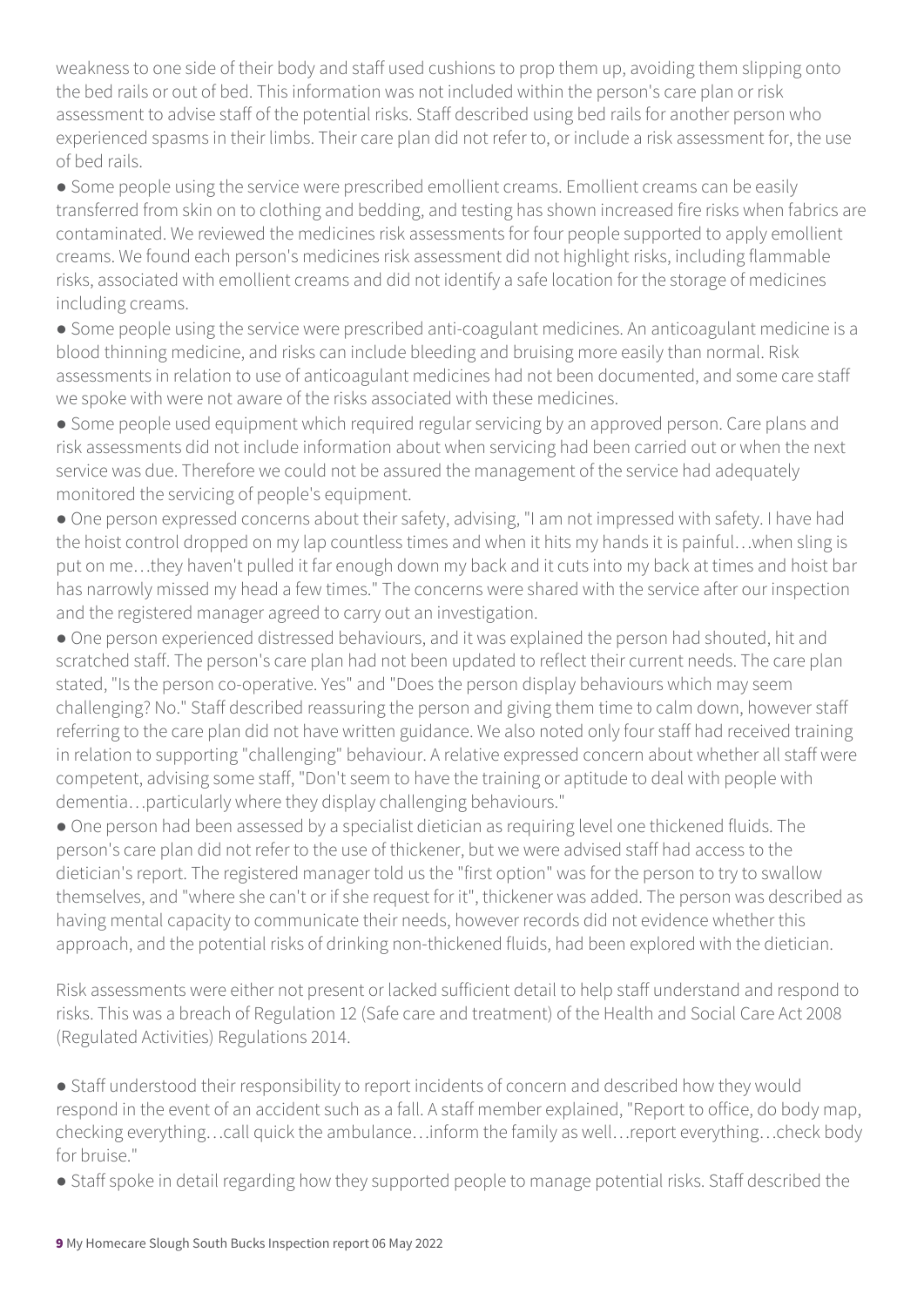weakness to one side of their body and staff used cushions to prop them up, avoiding them slipping onto the bed rails or out of bed. This information was not included within the person's care plan or risk assessment to advise staff of the potential risks. Staff described using bed rails for another person who experienced spasms in their limbs. Their care plan did not refer to, or include a risk assessment for, the use of bed rails.

• Some people using the service were prescribed emollient creams. Emollient creams can be easily transferred from skin on to clothing and bedding, and testing has shown increased fire risks when fabrics are contaminated. We reviewed the medicines risk assessments for four people supported to apply emollient creams. We found each person's medicines risk assessment did not highlight risks, including flammable risks, associated with emollient creams and did not identify a safe location for the storage of medicines including creams.

● Some people using the service were prescribed anti-coagulant medicines. An anticoagulant medicine is a blood thinning medicine, and risks can include bleeding and bruising more easily than normal. Risk assessments in relation to use of anticoagulant medicines had not been documented, and some care staff we spoke with were not aware of the risks associated with these medicines.

● Some people used equipment which required regular servicing by an approved person. Care plans and risk assessments did not include information about when servicing had been carried out or when the next service was due. Therefore we could not be assured the management of the service had adequately monitored the servicing of people's equipment.

● One person expressed concerns about their safety, advising, "I am not impressed with safety. I have had the hoist control dropped on my lap countless times and when it hits my hands it is painful…when sling is put on me…they haven't pulled it far enough down my back and it cuts into my back at times and hoist bar has narrowly missed my head a few times." The concerns were shared with the service after our inspection and the registered manager agreed to carry out an investigation.

● One person experienced distressed behaviours, and it was explained the person had shouted, hit and scratched staff. The person's care plan had not been updated to reflect their current needs. The care plan stated, "Is the person co-operative. Yes" and "Does the person display behaviours which may seem challenging? No." Staff described reassuring the person and giving them time to calm down, however staff referring to the care plan did not have written guidance. We also noted only four staff had received training in relation to supporting "challenging" behaviour. A relative expressed concern about whether all staff were competent, advising some staff, "Don't seem to have the training or aptitude to deal with people with dementia…particularly where they display challenging behaviours."

● One person had been assessed by a specialist dietician as requiring level one thickened fluids. The person's care plan did not refer to the use of thickener, but we were advised staff had access to the dietician's report. The registered manager told us the "first option" was for the person to try to swallow themselves, and "where she can't or if she request for it", thickener was added. The person was described as having mental capacity to communicate their needs, however records did not evidence whether this approach, and the potential risks of drinking non-thickened fluids, had been explored with the dietician.

Risk assessments were either not present or lacked sufficient detail to help staff understand and respond to risks. This was a breach of Regulation 12 (Safe care and treatment) of the Health and Social Care Act 2008 (Regulated Activities) Regulations 2014.

● Staff understood their responsibility to report incidents of concern and described how they would respond in the event of an accident such as a fall. A staff member explained, "Report to office, do body map, checking everything…call quick the ambulance…inform the family as well…report everything…check body for bruise."

• Staff spoke in detail regarding how they supported people to manage potential risks. Staff described the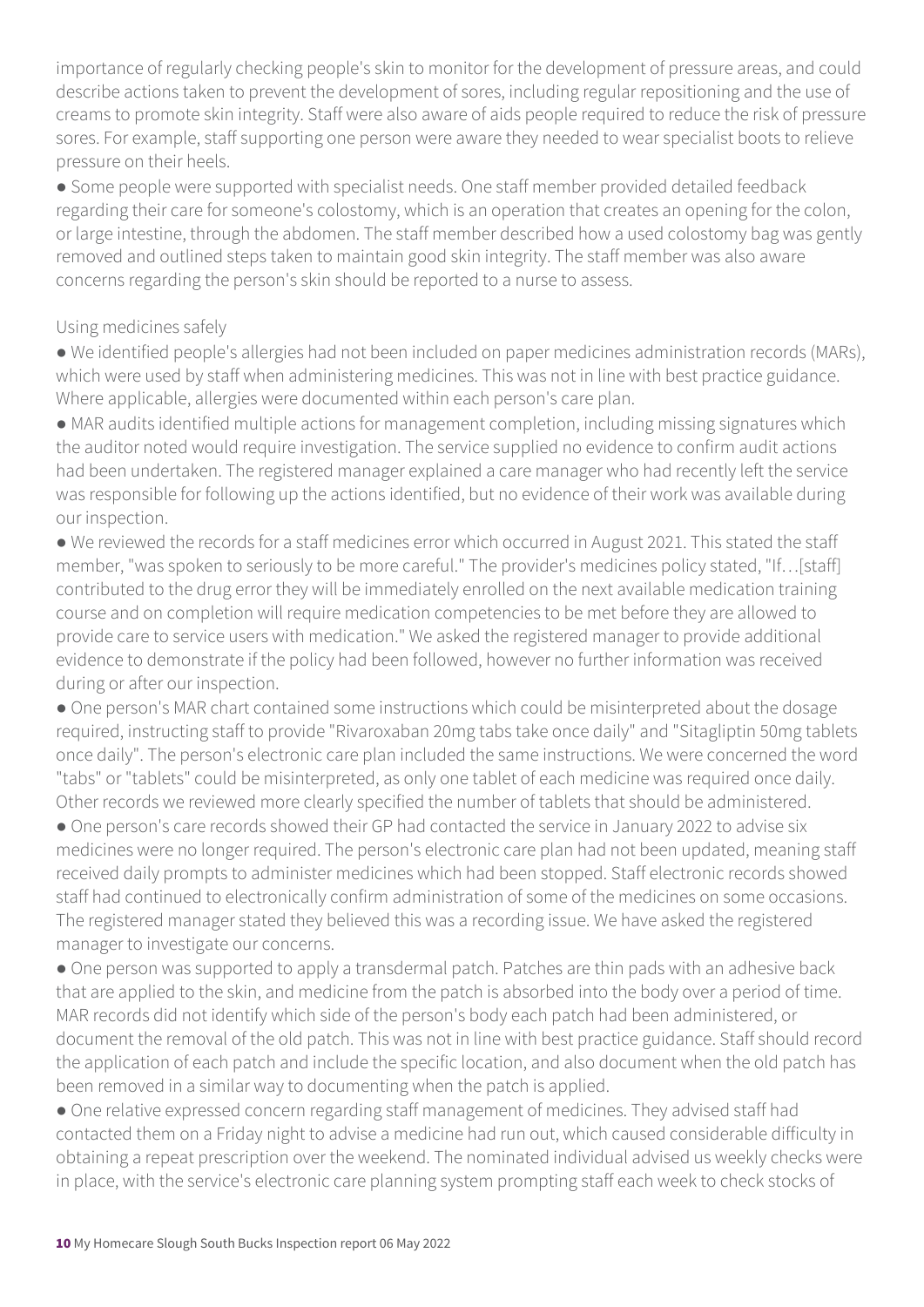importance of regularly checking people's skin to monitor for the development of pressure areas, and could describe actions taken to prevent the development of sores, including regular repositioning and the use of creams to promote skin integrity. Staff were also aware of aids people required to reduce the risk of pressure sores. For example, staff supporting one person were aware they needed to wear specialist boots to relieve pressure on their heels.

● Some people were supported with specialist needs. One staff member provided detailed feedback regarding their care for someone's colostomy, which is an operation that creates an opening for the colon, or large intestine, through the abdomen. The staff member described how a used colostomy bag was gently removed and outlined steps taken to maintain good skin integrity. The staff member was also aware concerns regarding the person's skin should be reported to a nurse to assess.

#### Using medicines safely

● We identified people's allergies had not been included on paper medicines administration records (MARs), which were used by staff when administering medicines. This was not in line with best practice guidance. Where applicable, allergies were documented within each person's care plan.

● MAR audits identified multiple actions for management completion, including missing signatures which the auditor noted would require investigation. The service supplied no evidence to confirm audit actions had been undertaken. The registered manager explained a care manager who had recently left the service was responsible for following up the actions identified, but no evidence of their work was available during our inspection.

● We reviewed the records for a staff medicines error which occurred in August 2021. This stated the staff member, "was spoken to seriously to be more careful." The provider's medicines policy stated, "If…[staff] contributed to the drug error they will be immediately enrolled on the next available medication training course and on completion will require medication competencies to be met before they are allowed to provide care to service users with medication." We asked the registered manager to provide additional evidence to demonstrate if the policy had been followed, however no further information was received during or after our inspection.

● One person's MAR chart contained some instructions which could be misinterpreted about the dosage required, instructing staff to provide "Rivaroxaban 20mg tabs take once daily" and "Sitagliptin 50mg tablets once daily". The person's electronic care plan included the same instructions. We were concerned the word "tabs" or "tablets" could be misinterpreted, as only one tablet of each medicine was required once daily. Other records we reviewed more clearly specified the number of tablets that should be administered.

• One person's care records showed their GP had contacted the service in January 2022 to advise six medicines were no longer required. The person's electronic care plan had not been updated, meaning staff received daily prompts to administer medicines which had been stopped. Staff electronic records showed staff had continued to electronically confirm administration of some of the medicines on some occasions. The registered manager stated they believed this was a recording issue. We have asked the registered manager to investigate our concerns.

● One person was supported to apply a transdermal patch. Patches are thin pads with an adhesive back that are applied to the skin, and medicine from the patch is absorbed into the body over a period of time. MAR records did not identify which side of the person's body each patch had been administered, or document the removal of the old patch. This was not in line with best practice guidance. Staff should record the application of each patch and include the specific location, and also document when the old patch has been removed in a similar way to documenting when the patch is applied.

● One relative expressed concern regarding staff management of medicines. They advised staff had contacted them on a Friday night to advise a medicine had run out, which caused considerable difficulty in obtaining a repeat prescription over the weekend. The nominated individual advised us weekly checks were in place, with the service's electronic care planning system prompting staff each week to check stocks of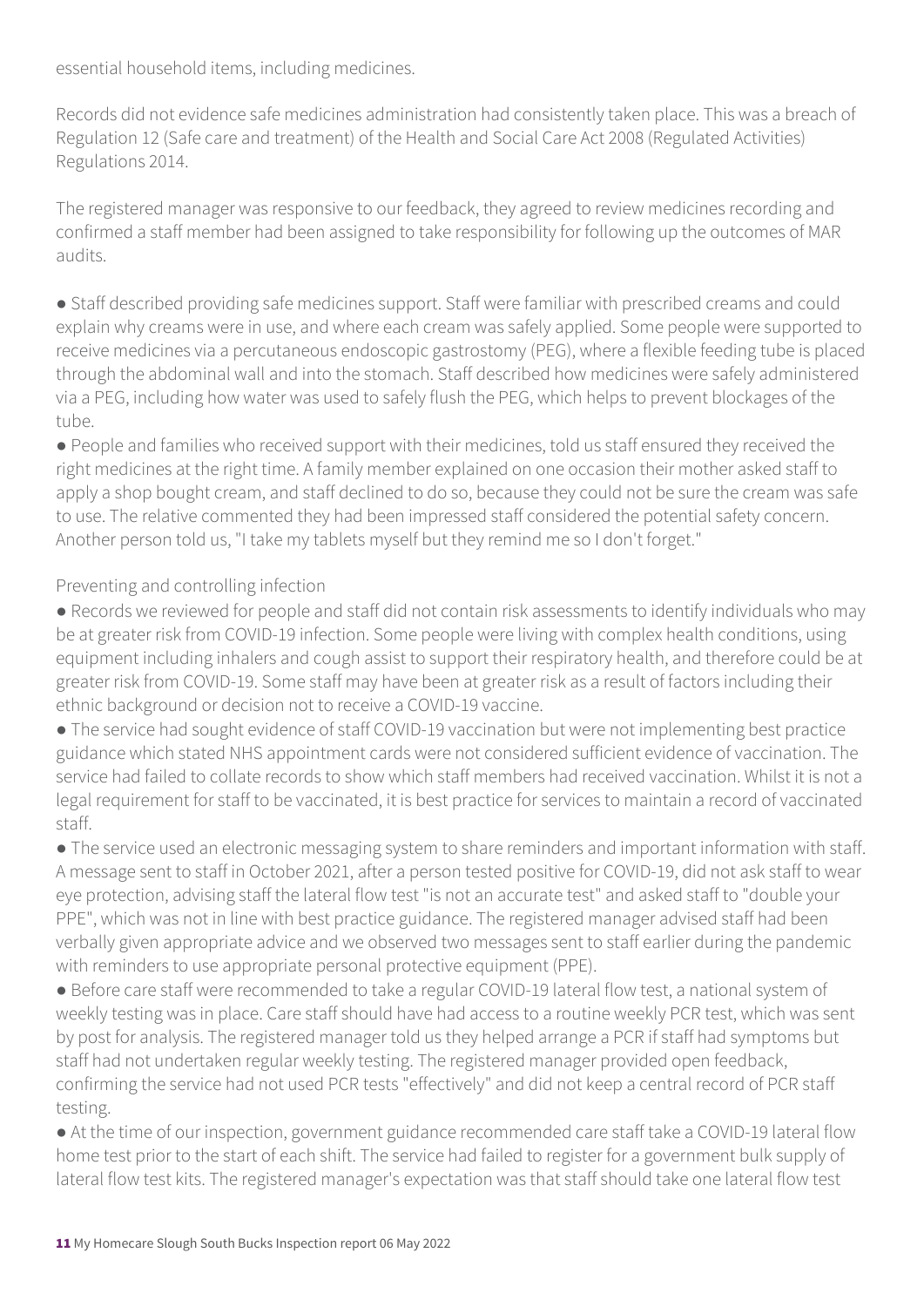essential household items, including medicines.

Records did not evidence safe medicines administration had consistently taken place. This was a breach of Regulation 12 (Safe care and treatment) of the Health and Social Care Act 2008 (Regulated Activities) Regulations 2014.

The registered manager was responsive to our feedback, they agreed to review medicines recording and confirmed a staff member had been assigned to take responsibility for following up the outcomes of MAR audits.

● Staff described providing safe medicines support. Staff were familiar with prescribed creams and could explain why creams were in use, and where each cream was safely applied. Some people were supported to receive medicines via a percutaneous endoscopic gastrostomy (PEG), where a flexible feeding tube is placed through the abdominal wall and into the stomach. Staff described how medicines were safely administered via a PEG, including how water was used to safely flush the PEG, which helps to prevent blockages of the tube.

● People and families who received support with their medicines, told us staff ensured they received the right medicines at the right time. A family member explained on one occasion their mother asked staff to apply a shop bought cream, and staff declined to do so, because they could not be sure the cream was safe to use. The relative commented they had been impressed staff considered the potential safety concern. Another person told us, "I take my tablets myself but they remind me so I don't forget."

Preventing and controlling infection

● Records we reviewed for people and staff did not contain risk assessments to identify individuals who may be at greater risk from COVID-19 infection. Some people were living with complex health conditions, using equipment including inhalers and cough assist to support their respiratory health, and therefore could be at greater risk from COVID-19. Some staff may have been at greater risk as a result of factors including their ethnic background or decision not to receive a COVID-19 vaccine.

● The service had sought evidence of staff COVID-19 vaccination but were not implementing best practice guidance which stated NHS appointment cards were not considered sufficient evidence of vaccination. The service had failed to collate records to show which staff members had received vaccination. Whilst it is not a legal requirement for staff to be vaccinated, it is best practice for services to maintain a record of vaccinated staff.

● The service used an electronic messaging system to share reminders and important information with staff. A message sent to staff in October 2021, after a person tested positive for COVID-19, did not ask staff to wear eye protection, advising staff the lateral flow test "is not an accurate test" and asked staff to "double your PPE", which was not in line with best practice guidance. The registered manager advised staff had been verbally given appropriate advice and we observed two messages sent to staff earlier during the pandemic with reminders to use appropriate personal protective equipment (PPE).

● Before care staff were recommended to take a regular COVID-19 lateral flow test, a national system of weekly testing was in place. Care staff should have had access to a routine weekly PCR test, which was sent by post for analysis. The registered manager told us they helped arrange a PCR if staff had symptoms but staff had not undertaken regular weekly testing. The registered manager provided open feedback, confirming the service had not used PCR tests "effectively" and did not keep a central record of PCR staff testing.

● At the time of our inspection, government guidance recommended care staff take a COVID-19 lateral flow home test prior to the start of each shift. The service had failed to register for a government bulk supply of lateral flow test kits. The registered manager's expectation was that staff should take one lateral flow test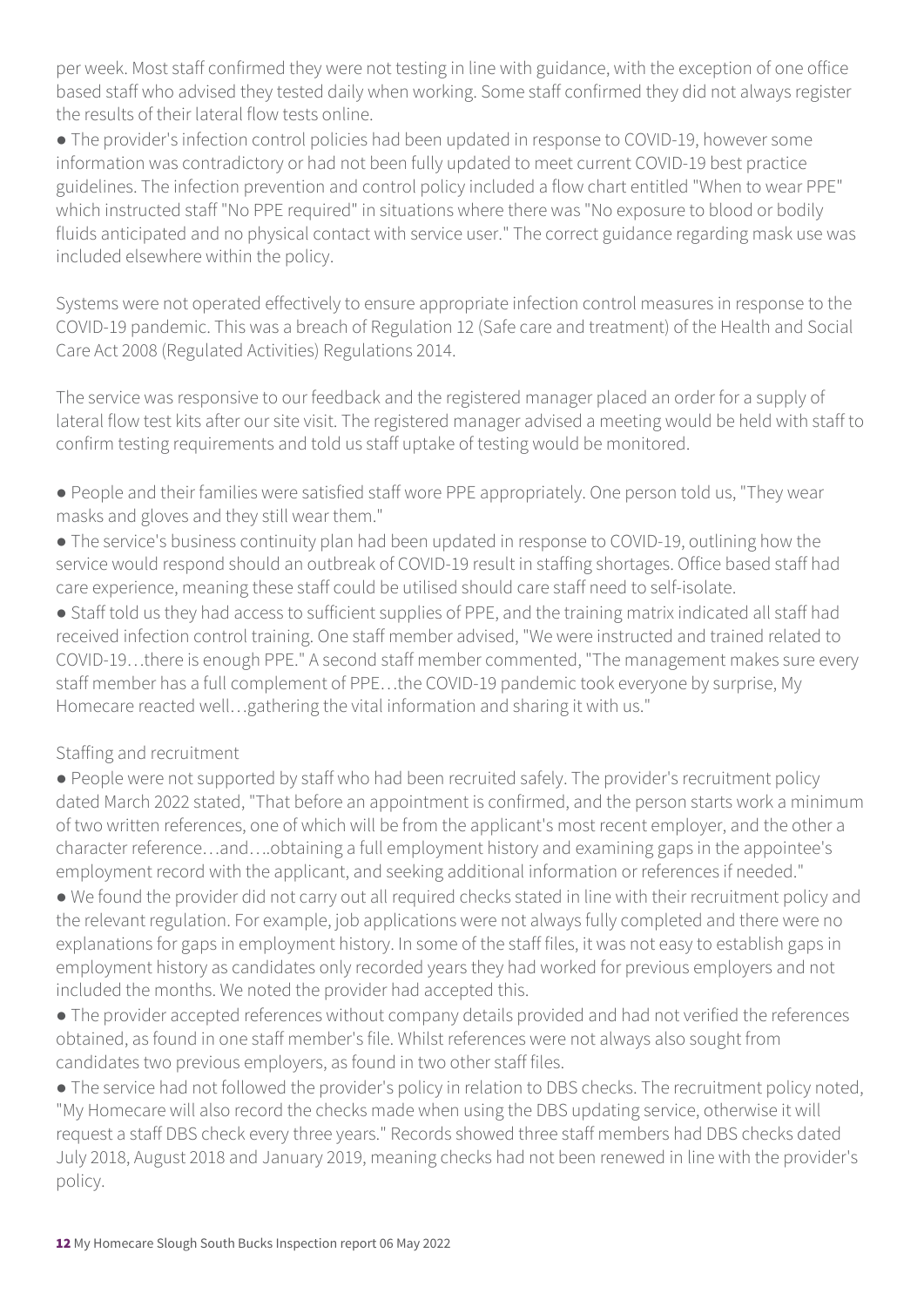per week. Most staff confirmed they were not testing in line with guidance, with the exception of one office based staff who advised they tested daily when working. Some staff confirmed they did not always register the results of their lateral flow tests online.

● The provider's infection control policies had been updated in response to COVID-19, however some information was contradictory or had not been fully updated to meet current COVID-19 best practice guidelines. The infection prevention and control policy included a flow chart entitled "When to wear PPE" which instructed staff "No PPE required" in situations where there was "No exposure to blood or bodily fluids anticipated and no physical contact with service user." The correct guidance regarding mask use was included elsewhere within the policy.

Systems were not operated effectively to ensure appropriate infection control measures in response to the COVID-19 pandemic. This was a breach of Regulation 12 (Safe care and treatment) of the Health and Social Care Act 2008 (Regulated Activities) Regulations 2014.

The service was responsive to our feedback and the registered manager placed an order for a supply of lateral flow test kits after our site visit. The registered manager advised a meeting would be held with staff to confirm testing requirements and told us staff uptake of testing would be monitored.

- People and their families were satisfied staff wore PPE appropriately. One person told us, "They wear masks and gloves and they still wear them."
- The service's business continuity plan had been updated in response to COVID-19, outlining how the service would respond should an outbreak of COVID-19 result in staffing shortages. Office based staff had care experience, meaning these staff could be utilised should care staff need to self-isolate.

● Staff told us they had access to sufficient supplies of PPE, and the training matrix indicated all staff had received infection control training. One staff member advised, "We were instructed and trained related to COVID-19…there is enough PPE." A second staff member commented, "The management makes sure every staff member has a full complement of PPE…the COVID-19 pandemic took everyone by surprise, My Homecare reacted well…gathering the vital information and sharing it with us."

#### Staffing and recruitment

● People were not supported by staff who had been recruited safely. The provider's recruitment policy dated March 2022 stated, "That before an appointment is confirmed, and the person starts work a minimum of two written references, one of which will be from the applicant's most recent employer, and the other a character reference…and….obtaining a full employment history and examining gaps in the appointee's employment record with the applicant, and seeking additional information or references if needed."

● We found the provider did not carry out all required checks stated in line with their recruitment policy and the relevant regulation. For example, job applications were not always fully completed and there were no explanations for gaps in employment history. In some of the staff files, it was not easy to establish gaps in employment history as candidates only recorded years they had worked for previous employers and not included the months. We noted the provider had accepted this.

● The provider accepted references without company details provided and had not verified the references obtained, as found in one staff member's file. Whilst references were not always also sought from candidates two previous employers, as found in two other staff files.

● The service had not followed the provider's policy in relation to DBS checks. The recruitment policy noted, "My Homecare will also record the checks made when using the DBS updating service, otherwise it will request a staff DBS check every three years." Records showed three staff members had DBS checks dated July 2018, August 2018 and January 2019, meaning checks had not been renewed in line with the provider's policy.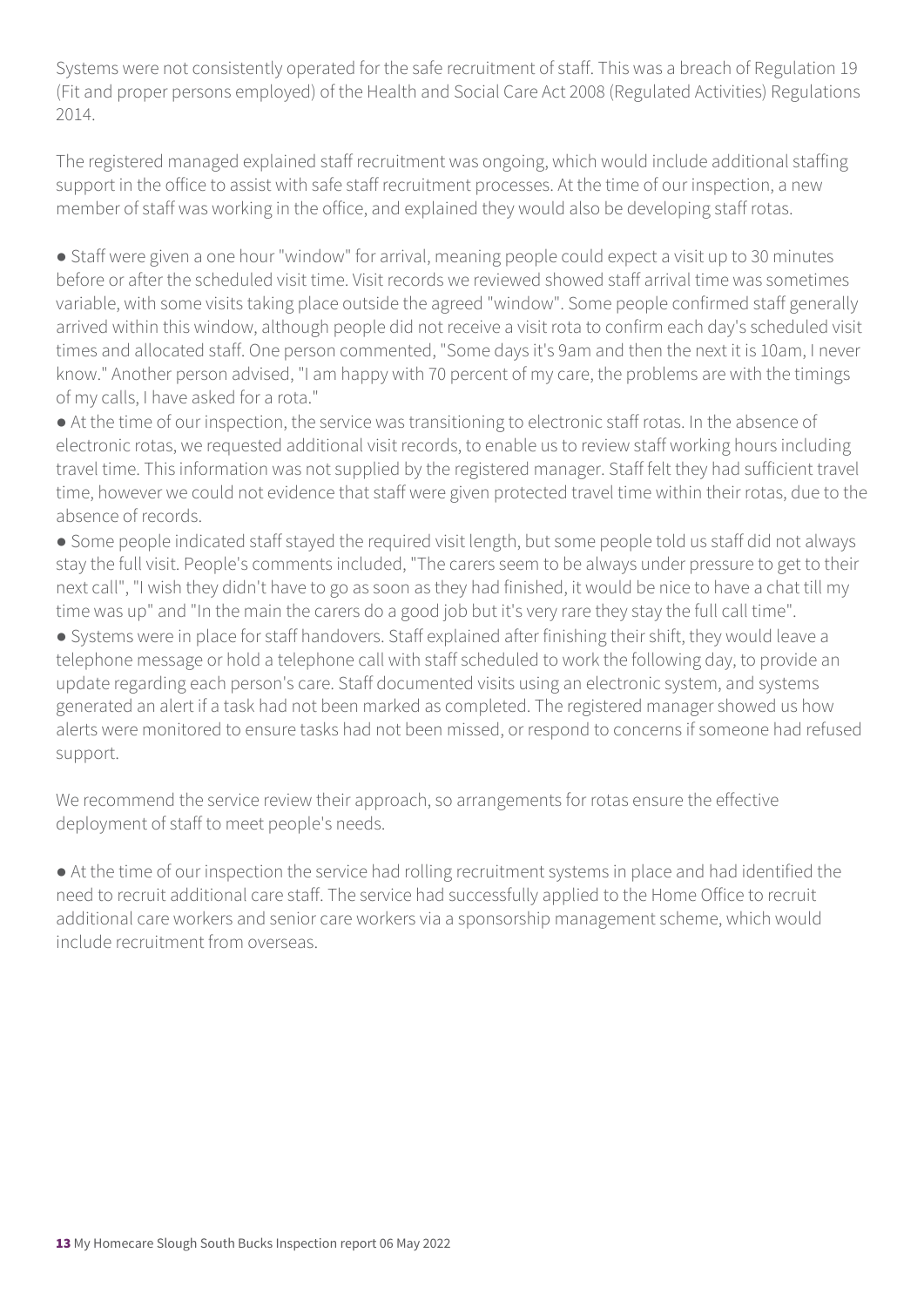Systems were not consistently operated for the safe recruitment of staff. This was a breach of Regulation 19 (Fit and proper persons employed) of the Health and Social Care Act 2008 (Regulated Activities) Regulations 2014.

The registered managed explained staff recruitment was ongoing, which would include additional staffing support in the office to assist with safe staff recruitment processes. At the time of our inspection, a new member of staff was working in the office, and explained they would also be developing staff rotas.

● Staff were given a one hour "window" for arrival, meaning people could expect a visit up to 30 minutes before or after the scheduled visit time. Visit records we reviewed showed staff arrival time was sometimes variable, with some visits taking place outside the agreed "window". Some people confirmed staff generally arrived within this window, although people did not receive a visit rota to confirm each day's scheduled visit times and allocated staff. One person commented, "Some days it's 9am and then the next it is 10am, I never know." Another person advised, "I am happy with 70 percent of my care, the problems are with the timings of my calls, I have asked for a rota."

● At the time of our inspection, the service was transitioning to electronic staff rotas. In the absence of electronic rotas, we requested additional visit records, to enable us to review staff working hours including travel time. This information was not supplied by the registered manager. Staff felt they had sufficient travel time, however we could not evidence that staff were given protected travel time within their rotas, due to the absence of records.

● Some people indicated staff stayed the required visit length, but some people told us staff did not always stay the full visit. People's comments included, "The carers seem to be always under pressure to get to their next call", "I wish they didn't have to go as soon as they had finished, it would be nice to have a chat till my time was up" and "In the main the carers do a good job but it's very rare they stay the full call time".

● Systems were in place for staff handovers. Staff explained after finishing their shift, they would leave a telephone message or hold a telephone call with staff scheduled to work the following day, to provide an update regarding each person's care. Staff documented visits using an electronic system, and systems generated an alert if a task had not been marked as completed. The registered manager showed us how alerts were monitored to ensure tasks had not been missed, or respond to concerns if someone had refused support.

We recommend the service review their approach, so arrangements for rotas ensure the effective deployment of staff to meet people's needs.

● At the time of our inspection the service had rolling recruitment systems in place and had identified the need to recruit additional care staff. The service had successfully applied to the Home Office to recruit additional care workers and senior care workers via a sponsorship management scheme, which would include recruitment from overseas.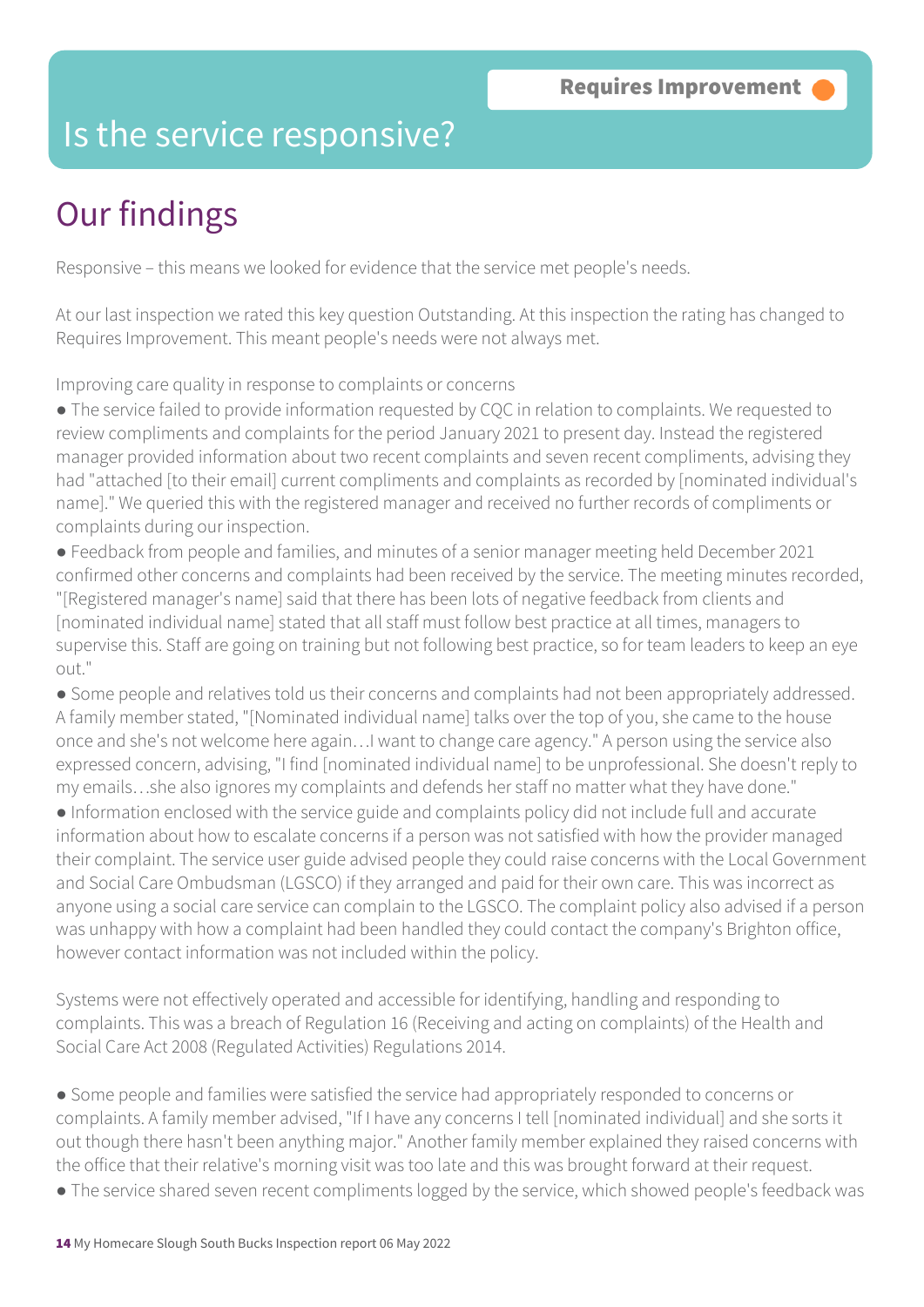### Is the service responsive?

# Our findings

Responsive – this means we looked for evidence that the service met people's needs.

At our last inspection we rated this key question Outstanding. At this inspection the rating has changed to Requires Improvement. This meant people's needs were not always met.

Improving care quality in response to complaints or concerns

● The service failed to provide information requested by CQC in relation to complaints. We requested to review compliments and complaints for the period January 2021 to present day. Instead the registered manager provided information about two recent complaints and seven recent compliments, advising they had "attached [to their email] current compliments and complaints as recorded by [nominated individual's name]." We queried this with the registered manager and received no further records of compliments or complaints during our inspection.

● Feedback from people and families, and minutes of a senior manager meeting held December 2021 confirmed other concerns and complaints had been received by the service. The meeting minutes recorded, "[Registered manager's name] said that there has been lots of negative feedback from clients and [nominated individual name] stated that all staff must follow best practice at all times, managers to supervise this. Staff are going on training but not following best practice, so for team leaders to keep an eye out."

● Some people and relatives told us their concerns and complaints had not been appropriately addressed. A family member stated, "[Nominated individual name] talks over the top of you, she came to the house once and she's not welcome here again…I want to change care agency." A person using the service also expressed concern, advising, "I find [nominated individual name] to be unprofessional. She doesn't reply to my emails…she also ignores my complaints and defends her staff no matter what they have done."

● Information enclosed with the service guide and complaints policy did not include full and accurate information about how to escalate concerns if a person was not satisfied with how the provider managed their complaint. The service user guide advised people they could raise concerns with the Local Government and Social Care Ombudsman (LGSCO) if they arranged and paid for their own care. This was incorrect as anyone using a social care service can complain to the LGSCO. The complaint policy also advised if a person was unhappy with how a complaint had been handled they could contact the company's Brighton office, however contact information was not included within the policy.

Systems were not effectively operated and accessible for identifying, handling and responding to complaints. This was a breach of Regulation 16 (Receiving and acting on complaints) of the Health and Social Care Act 2008 (Regulated Activities) Regulations 2014.

● Some people and families were satisfied the service had appropriately responded to concerns or complaints. A family member advised, "If I have any concerns I tell [nominated individual] and she sorts it out though there hasn't been anything major." Another family member explained they raised concerns with the office that their relative's morning visit was too late and this was brought forward at their request.

• The service shared seven recent compliments logged by the service, which showed people's feedback was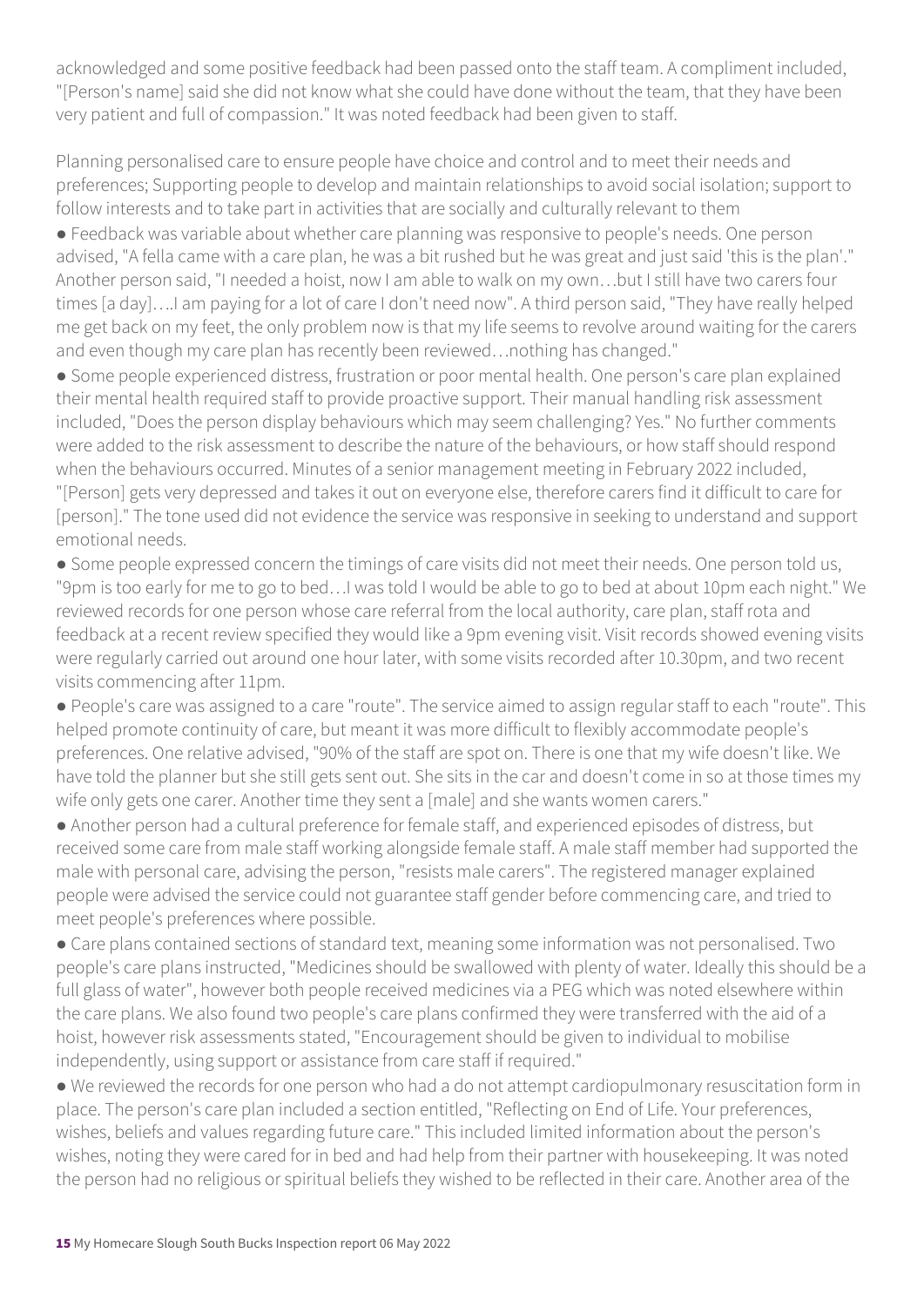acknowledged and some positive feedback had been passed onto the staff team. A compliment included, "[Person's name] said she did not know what she could have done without the team, that they have been very patient and full of compassion." It was noted feedback had been given to staff.

Planning personalised care to ensure people have choice and control and to meet their needs and preferences; Supporting people to develop and maintain relationships to avoid social isolation; support to follow interests and to take part in activities that are socially and culturally relevant to them

● Feedback was variable about whether care planning was responsive to people's needs. One person advised, "A fella came with a care plan, he was a bit rushed but he was great and just said 'this is the plan'." Another person said, "I needed a hoist, now I am able to walk on my own…but I still have two carers four times [a day]….I am paying for a lot of care I don't need now". A third person said, "They have really helped me get back on my feet, the only problem now is that my life seems to revolve around waiting for the carers and even though my care plan has recently been reviewed…nothing has changed."

● Some people experienced distress, frustration or poor mental health. One person's care plan explained their mental health required staff to provide proactive support. Their manual handling risk assessment included, "Does the person display behaviours which may seem challenging? Yes." No further comments were added to the risk assessment to describe the nature of the behaviours, or how staff should respond when the behaviours occurred. Minutes of a senior management meeting in February 2022 included, "[Person] gets very depressed and takes it out on everyone else, therefore carers find it difficult to care for [person]." The tone used did not evidence the service was responsive in seeking to understand and support emotional needs.

● Some people expressed concern the timings of care visits did not meet their needs. One person told us, "9pm is too early for me to go to bed…I was told I would be able to go to bed at about 10pm each night." We reviewed records for one person whose care referral from the local authority, care plan, staff rota and feedback at a recent review specified they would like a 9pm evening visit. Visit records showed evening visits were regularly carried out around one hour later, with some visits recorded after 10.30pm, and two recent visits commencing after 11pm.

● People's care was assigned to a care "route". The service aimed to assign regular staff to each "route". This helped promote continuity of care, but meant it was more difficult to flexibly accommodate people's preferences. One relative advised, "90% of the staff are spot on. There is one that my wife doesn't like. We have told the planner but she still gets sent out. She sits in the car and doesn't come in so at those times my wife only gets one carer. Another time they sent a [male] and she wants women carers."

● Another person had a cultural preference for female staff, and experienced episodes of distress, but received some care from male staff working alongside female staff. A male staff member had supported the male with personal care, advising the person, "resists male carers". The registered manager explained people were advised the service could not guarantee staff gender before commencing care, and tried to meet people's preferences where possible.

● Care plans contained sections of standard text, meaning some information was not personalised. Two people's care plans instructed, "Medicines should be swallowed with plenty of water. Ideally this should be a full glass of water", however both people received medicines via a PEG which was noted elsewhere within the care plans. We also found two people's care plans confirmed they were transferred with the aid of a hoist, however risk assessments stated, "Encouragement should be given to individual to mobilise independently, using support or assistance from care staff if required."

● We reviewed the records for one person who had a do not attempt cardiopulmonary resuscitation form in place. The person's care plan included a section entitled, "Reflecting on End of Life. Your preferences, wishes, beliefs and values regarding future care." This included limited information about the person's wishes, noting they were cared for in bed and had help from their partner with housekeeping. It was noted the person had no religious or spiritual beliefs they wished to be reflected in their care. Another area of the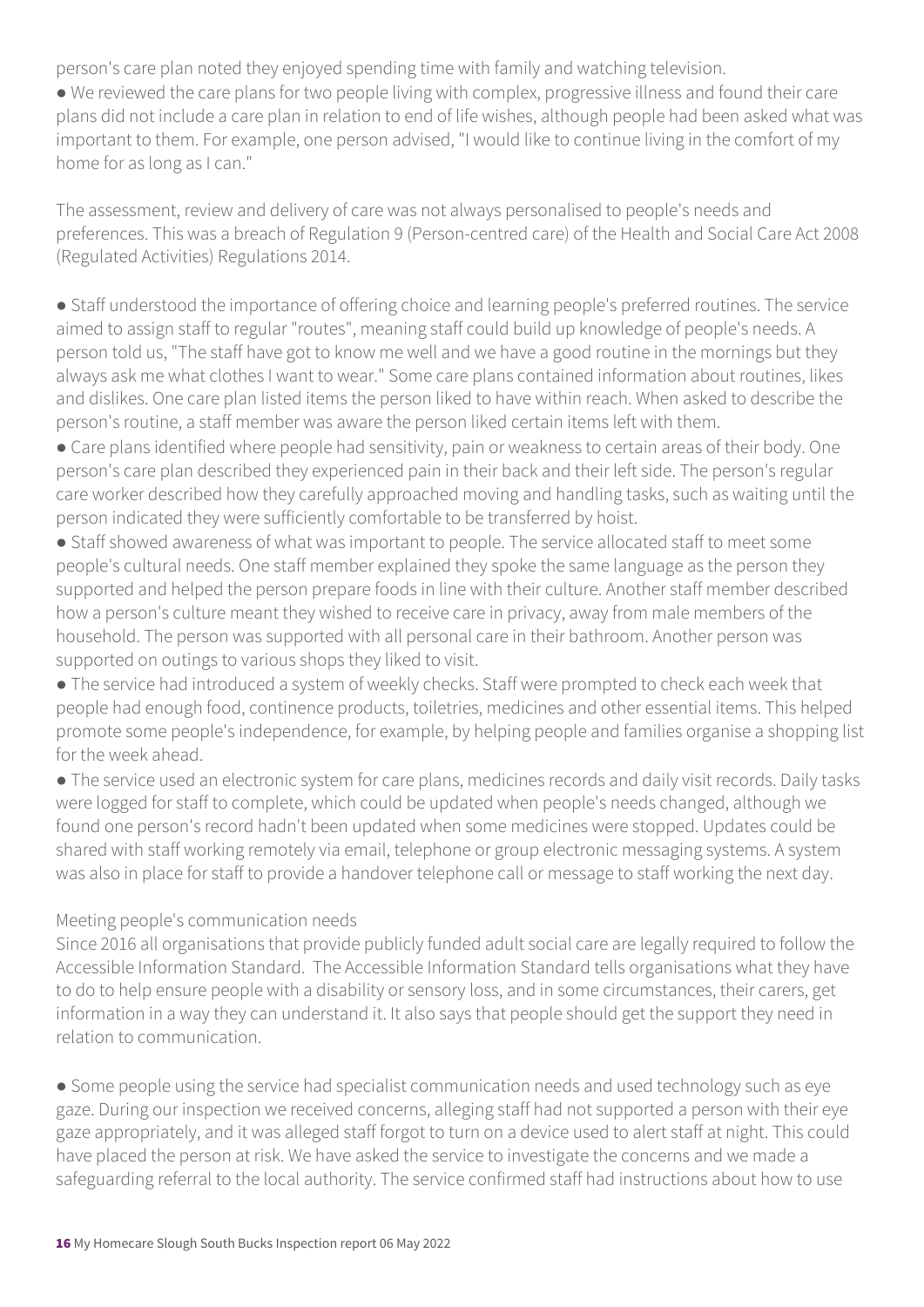person's care plan noted they enjoyed spending time with family and watching television.

● We reviewed the care plans for two people living with complex, progressive illness and found their care plans did not include a care plan in relation to end of life wishes, although people had been asked what was important to them. For example, one person advised, "I would like to continue living in the comfort of my home for as long as I can."

The assessment, review and delivery of care was not always personalised to people's needs and preferences. This was a breach of Regulation 9 (Person-centred care) of the Health and Social Care Act 2008 (Regulated Activities) Regulations 2014.

● Staff understood the importance of offering choice and learning people's preferred routines. The service aimed to assign staff to regular "routes", meaning staff could build up knowledge of people's needs. A person told us, "The staff have got to know me well and we have a good routine in the mornings but they always ask me what clothes I want to wear." Some care plans contained information about routines, likes and dislikes. One care plan listed items the person liked to have within reach. When asked to describe the person's routine, a staff member was aware the person liked certain items left with them.

● Care plans identified where people had sensitivity, pain or weakness to certain areas of their body. One person's care plan described they experienced pain in their back and their left side. The person's regular care worker described how they carefully approached moving and handling tasks, such as waiting until the person indicated they were sufficiently comfortable to be transferred by hoist.

● Staff showed awareness of what was important to people. The service allocated staff to meet some people's cultural needs. One staff member explained they spoke the same language as the person they supported and helped the person prepare foods in line with their culture. Another staff member described how a person's culture meant they wished to receive care in privacy, away from male members of the household. The person was supported with all personal care in their bathroom. Another person was supported on outings to various shops they liked to visit.

● The service had introduced a system of weekly checks. Staff were prompted to check each week that people had enough food, continence products, toiletries, medicines and other essential items. This helped promote some people's independence, for example, by helping people and families organise a shopping list for the week ahead.

● The service used an electronic system for care plans, medicines records and daily visit records. Daily tasks were logged for staff to complete, which could be updated when people's needs changed, although we found one person's record hadn't been updated when some medicines were stopped. Updates could be shared with staff working remotely via email, telephone or group electronic messaging systems. A system was also in place for staff to provide a handover telephone call or message to staff working the next day.

#### Meeting people's communication needs

Since 2016 all organisations that provide publicly funded adult social care are legally required to follow the Accessible Information Standard. The Accessible Information Standard tells organisations what they have to do to help ensure people with a disability or sensory loss, and in some circumstances, their carers, get information in a way they can understand it. It also says that people should get the support they need in relation to communication.

● Some people using the service had specialist communication needs and used technology such as eye gaze. During our inspection we received concerns, alleging staff had not supported a person with their eye gaze appropriately, and it was alleged staff forgot to turn on a device used to alert staff at night. This could have placed the person at risk. We have asked the service to investigate the concerns and we made a safeguarding referral to the local authority. The service confirmed staff had instructions about how to use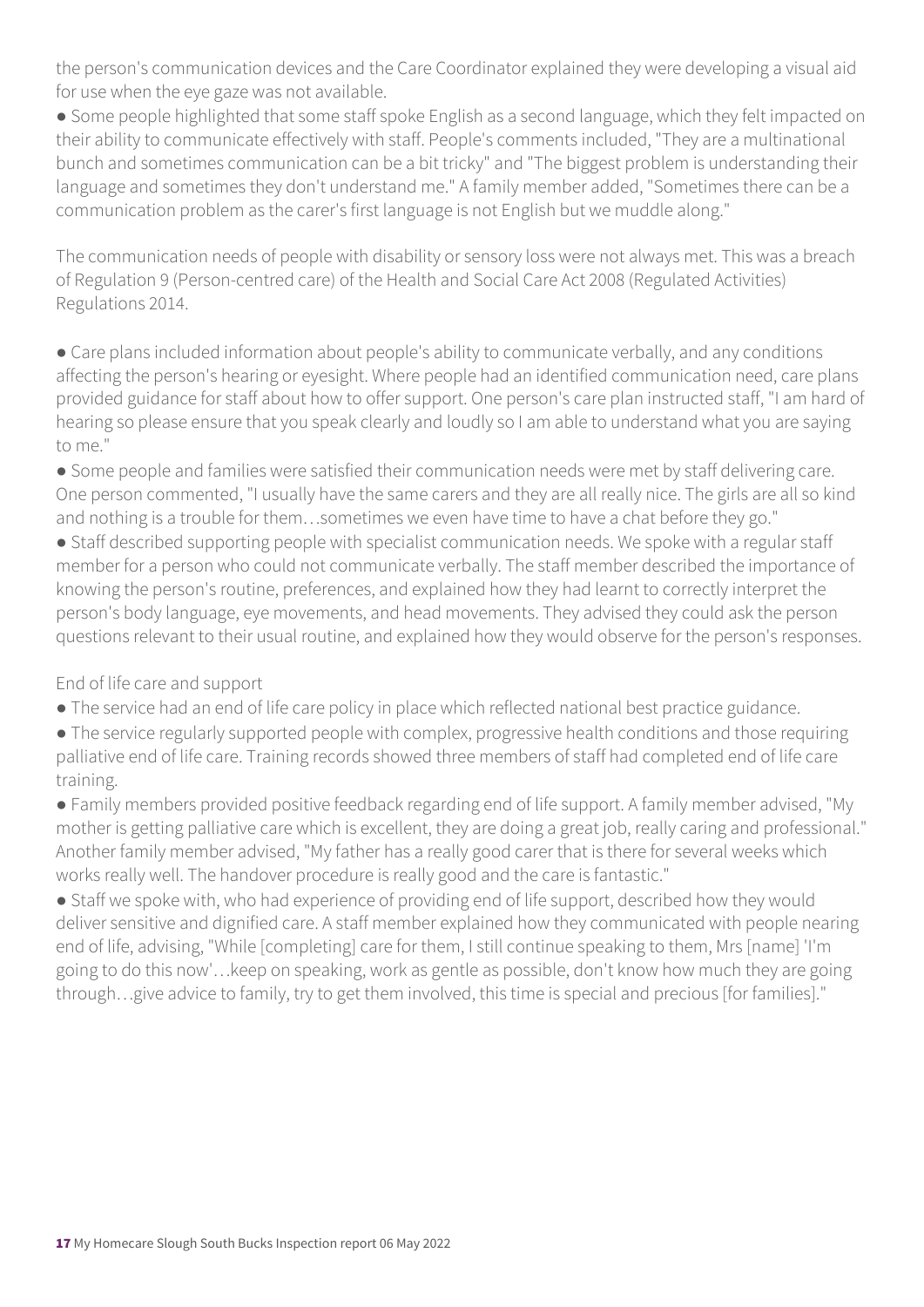the person's communication devices and the Care Coordinator explained they were developing a visual aid for use when the eye gaze was not available.

● Some people highlighted that some staff spoke English as a second language, which they felt impacted on their ability to communicate effectively with staff. People's comments included, "They are a multinational bunch and sometimes communication can be a bit tricky" and "The biggest problem is understanding their language and sometimes they don't understand me." A family member added, "Sometimes there can be a communication problem as the carer's first language is not English but we muddle along."

The communication needs of people with disability or sensory loss were not always met. This was a breach of Regulation 9 (Person-centred care) of the Health and Social Care Act 2008 (Regulated Activities) Regulations 2014.

• Care plans included information about people's ability to communicate verbally, and any conditions affecting the person's hearing or eyesight. Where people had an identified communication need, care plans provided guidance for staff about how to offer support. One person's care plan instructed staff, "I am hard of hearing so please ensure that you speak clearly and loudly so I am able to understand what you are saying to me."

● Some people and families were satisfied their communication needs were met by staff delivering care. One person commented, "I usually have the same carers and they are all really nice. The girls are all so kind and nothing is a trouble for them…sometimes we even have time to have a chat before they go."

• Staff described supporting people with specialist communication needs. We spoke with a regular staff member for a person who could not communicate verbally. The staff member described the importance of knowing the person's routine, preferences, and explained how they had learnt to correctly interpret the person's body language, eye movements, and head movements. They advised they could ask the person questions relevant to their usual routine, and explained how they would observe for the person's responses.

End of life care and support

● The service had an end of life care policy in place which reflected national best practice guidance.

● The service regularly supported people with complex, progressive health conditions and those requiring palliative end of life care. Training records showed three members of staff had completed end of life care training.

● Family members provided positive feedback regarding end of life support. A family member advised, "My mother is getting palliative care which is excellent, they are doing a great job, really caring and professional." Another family member advised, "My father has a really good carer that is there for several weeks which works really well. The handover procedure is really good and the care is fantastic."

• Staff we spoke with, who had experience of providing end of life support, described how they would deliver sensitive and dignified care. A staff member explained how they communicated with people nearing end of life, advising, "While [completing] care for them, I still continue speaking to them, Mrs [name] 'I'm going to do this now'…keep on speaking, work as gentle as possible, don't know how much they are going through…give advice to family, try to get them involved, this time is special and precious [for families]."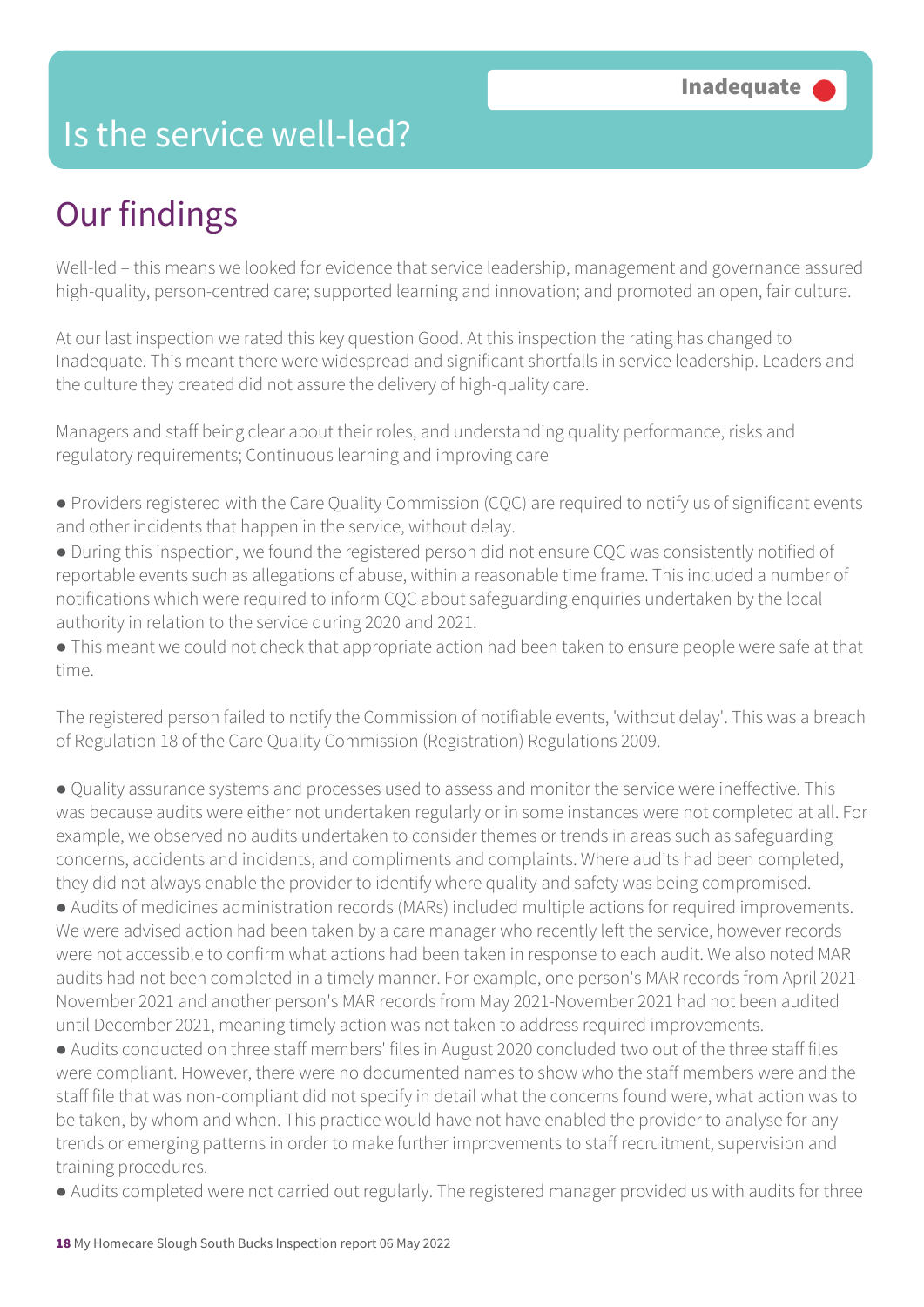### Is the service well-led?

## Our findings

Well-led – this means we looked for evidence that service leadership, management and governance assured high-quality, person-centred care; supported learning and innovation; and promoted an open, fair culture.

At our last inspection we rated this key question Good. At this inspection the rating has changed to Inadequate. This meant there were widespread and significant shortfalls in service leadership. Leaders and the culture they created did not assure the delivery of high-quality care.

Managers and staff being clear about their roles, and understanding quality performance, risks and regulatory requirements; Continuous learning and improving care

- Providers registered with the Care Quality Commission (CQC) are required to notify us of significant events and other incidents that happen in the service, without delay.
- During this inspection, we found the registered person did not ensure CQC was consistently notified of reportable events such as allegations of abuse, within a reasonable time frame. This included a number of notifications which were required to inform CQC about safeguarding enquiries undertaken by the local authority in relation to the service during 2020 and 2021.

● This meant we could not check that appropriate action had been taken to ensure people were safe at that time.

The registered person failed to notify the Commission of notifiable events, 'without delay'. This was a breach of Regulation 18 of the Care Quality Commission (Registration) Regulations 2009.

● Quality assurance systems and processes used to assess and monitor the service were ineffective. This was because audits were either not undertaken regularly or in some instances were not completed at all. For example, we observed no audits undertaken to consider themes or trends in areas such as safeguarding concerns, accidents and incidents, and compliments and complaints. Where audits had been completed, they did not always enable the provider to identify where quality and safety was being compromised.

● Audits of medicines administration records (MARs) included multiple actions for required improvements. We were advised action had been taken by a care manager who recently left the service, however records were not accessible to confirm what actions had been taken in response to each audit. We also noted MAR audits had not been completed in a timely manner. For example, one person's MAR records from April 2021- November 2021 and another person's MAR records from May 2021-November 2021 had not been audited until December 2021, meaning timely action was not taken to address required improvements.

● Audits conducted on three staff members' files in August 2020 concluded two out of the three staff files were compliant. However, there were no documented names to show who the staff members were and the staff file that was non-compliant did not specify in detail what the concerns found were, what action was to be taken, by whom and when. This practice would have not have enabled the provider to analyse for any trends or emerging patterns in order to make further improvements to staff recruitment, supervision and training procedures.

● Audits completed were not carried out regularly. The registered manager provided us with audits for three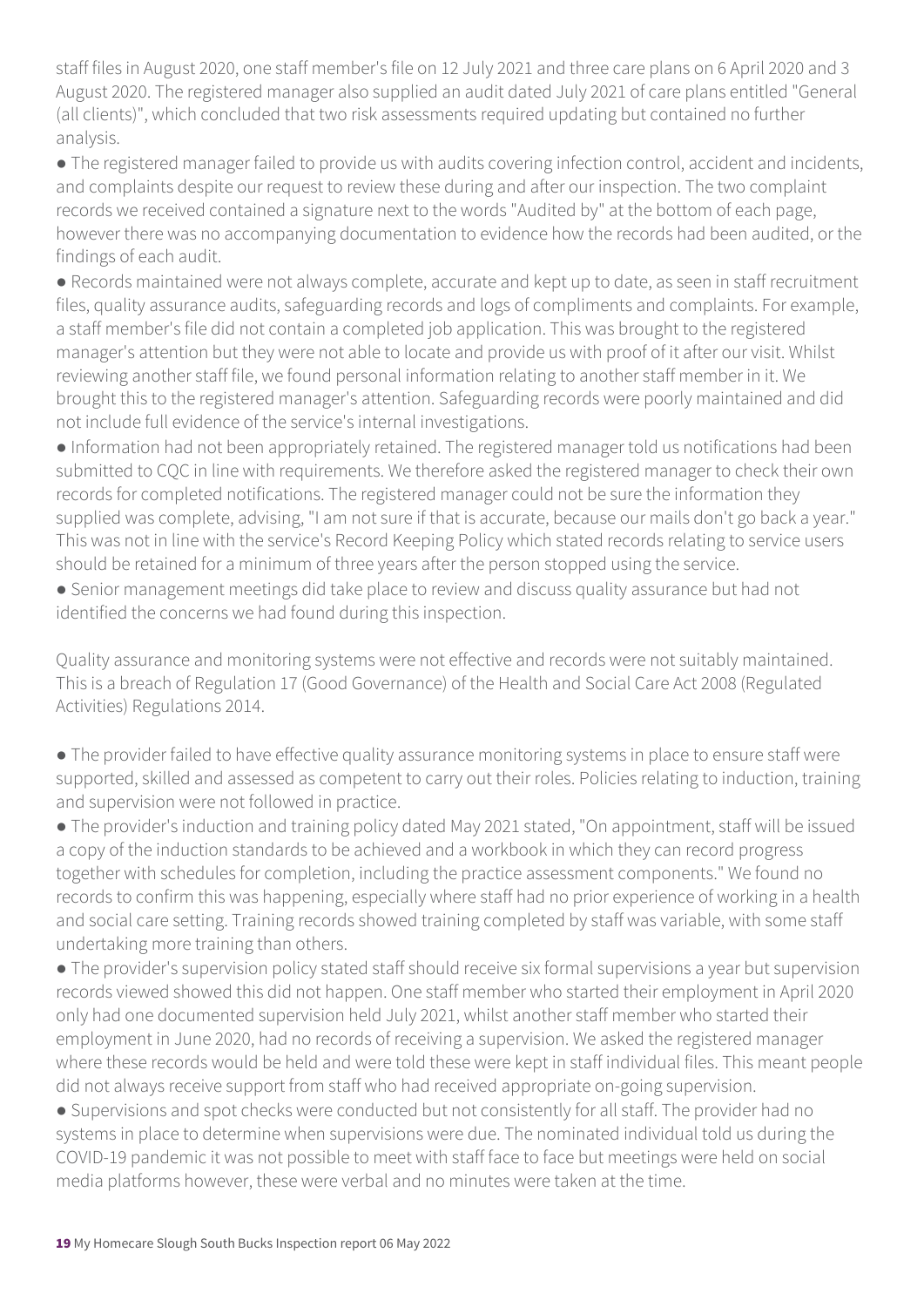staff files in August 2020, one staff member's file on 12 July 2021 and three care plans on 6 April 2020 and 3 August 2020. The registered manager also supplied an audit dated July 2021 of care plans entitled "General (all clients)", which concluded that two risk assessments required updating but contained no further analysis.

● The registered manager failed to provide us with audits covering infection control, accident and incidents, and complaints despite our request to review these during and after our inspection. The two complaint records we received contained a signature next to the words "Audited by" at the bottom of each page, however there was no accompanying documentation to evidence how the records had been audited, or the findings of each audit.

● Records maintained were not always complete, accurate and kept up to date, as seen in staff recruitment files, quality assurance audits, safeguarding records and logs of compliments and complaints. For example, a staff member's file did not contain a completed job application. This was brought to the registered manager's attention but they were not able to locate and provide us with proof of it after our visit. Whilst reviewing another staff file, we found personal information relating to another staff member in it. We brought this to the registered manager's attention. Safeguarding records were poorly maintained and did not include full evidence of the service's internal investigations.

● Information had not been appropriately retained. The registered manager told us notifications had been submitted to CQC in line with requirements. We therefore asked the registered manager to check their own records for completed notifications. The registered manager could not be sure the information they supplied was complete, advising, "I am not sure if that is accurate, because our mails don't go back a year." This was not in line with the service's Record Keeping Policy which stated records relating to service users should be retained for a minimum of three years after the person stopped using the service.

● Senior management meetings did take place to review and discuss quality assurance but had not identified the concerns we had found during this inspection.

Quality assurance and monitoring systems were not effective and records were not suitably maintained. This is a breach of Regulation 17 (Good Governance) of the Health and Social Care Act 2008 (Regulated Activities) Regulations 2014.

● The provider failed to have effective quality assurance monitoring systems in place to ensure staff were supported, skilled and assessed as competent to carry out their roles. Policies relating to induction, training and supervision were not followed in practice.

● The provider's induction and training policy dated May 2021 stated, "On appointment, staff will be issued a copy of the induction standards to be achieved and a workbook in which they can record progress together with schedules for completion, including the practice assessment components." We found no records to confirm this was happening, especially where staff had no prior experience of working in a health and social care setting. Training records showed training completed by staff was variable, with some staff undertaking more training than others.

● The provider's supervision policy stated staff should receive six formal supervisions a year but supervision records viewed showed this did not happen. One staff member who started their employment in April 2020 only had one documented supervision held July 2021, whilst another staff member who started their employment in June 2020, had no records of receiving a supervision. We asked the registered manager where these records would be held and were told these were kept in staff individual files. This meant people did not always receive support from staff who had received appropriate on-going supervision.

● Supervisions and spot checks were conducted but not consistently for all staff. The provider had no systems in place to determine when supervisions were due. The nominated individual told us during the COVID-19 pandemic it was not possible to meet with staff face to face but meetings were held on social media platforms however, these were verbal and no minutes were taken at the time.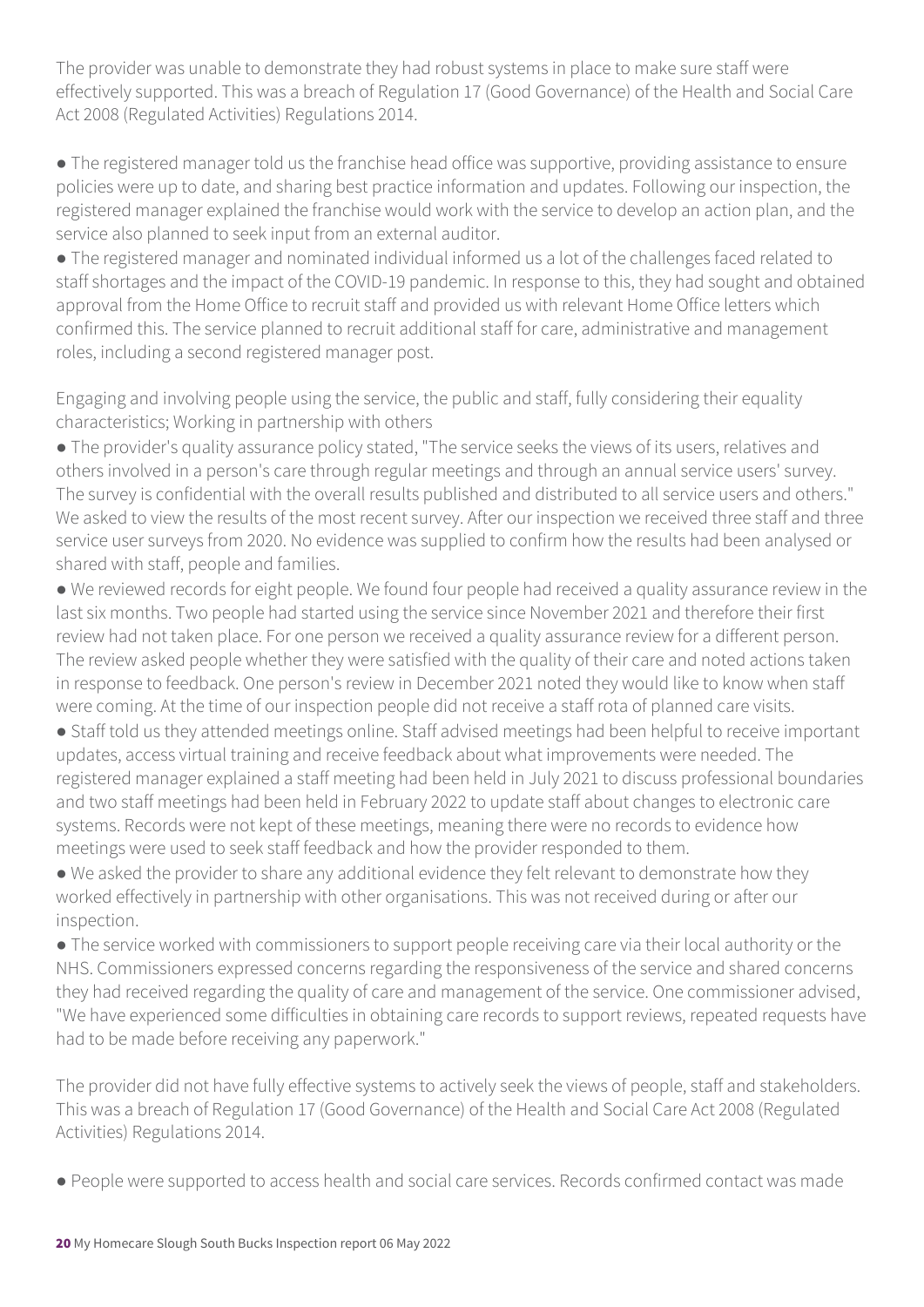The provider was unable to demonstrate they had robust systems in place to make sure staff were effectively supported. This was a breach of Regulation 17 (Good Governance) of the Health and Social Care Act 2008 (Regulated Activities) Regulations 2014.

● The registered manager told us the franchise head office was supportive, providing assistance to ensure policies were up to date, and sharing best practice information and updates. Following our inspection, the registered manager explained the franchise would work with the service to develop an action plan, and the service also planned to seek input from an external auditor.

● The registered manager and nominated individual informed us a lot of the challenges faced related to staff shortages and the impact of the COVID-19 pandemic. In response to this, they had sought and obtained approval from the Home Office to recruit staff and provided us with relevant Home Office letters which confirmed this. The service planned to recruit additional staff for care, administrative and management roles, including a second registered manager post.

Engaging and involving people using the service, the public and staff, fully considering their equality characteristics; Working in partnership with others

● The provider's quality assurance policy stated, "The service seeks the views of its users, relatives and others involved in a person's care through regular meetings and through an annual service users' survey. The survey is confidential with the overall results published and distributed to all service users and others." We asked to view the results of the most recent survey. After our inspection we received three staff and three service user surveys from 2020. No evidence was supplied to confirm how the results had been analysed or shared with staff, people and families.

● We reviewed records for eight people. We found four people had received a quality assurance review in the last six months. Two people had started using the service since November 2021 and therefore their first review had not taken place. For one person we received a quality assurance review for a different person. The review asked people whether they were satisfied with the quality of their care and noted actions taken in response to feedback. One person's review in December 2021 noted they would like to know when staff were coming. At the time of our inspection people did not receive a staff rota of planned care visits.

● Staff told us they attended meetings online. Staff advised meetings had been helpful to receive important updates, access virtual training and receive feedback about what improvements were needed. The registered manager explained a staff meeting had been held in July 2021 to discuss professional boundaries and two staff meetings had been held in February 2022 to update staff about changes to electronic care systems. Records were not kept of these meetings, meaning there were no records to evidence how meetings were used to seek staff feedback and how the provider responded to them.

● We asked the provider to share any additional evidence they felt relevant to demonstrate how they worked effectively in partnership with other organisations. This was not received during or after our inspection.

● The service worked with commissioners to support people receiving care via their local authority or the NHS. Commissioners expressed concerns regarding the responsiveness of the service and shared concerns they had received regarding the quality of care and management of the service. One commissioner advised, "We have experienced some difficulties in obtaining care records to support reviews, repeated requests have had to be made before receiving any paperwork."

The provider did not have fully effective systems to actively seek the views of people, staff and stakeholders. This was a breach of Regulation 17 (Good Governance) of the Health and Social Care Act 2008 (Regulated Activities) Regulations 2014.

● People were supported to access health and social care services. Records confirmed contact was made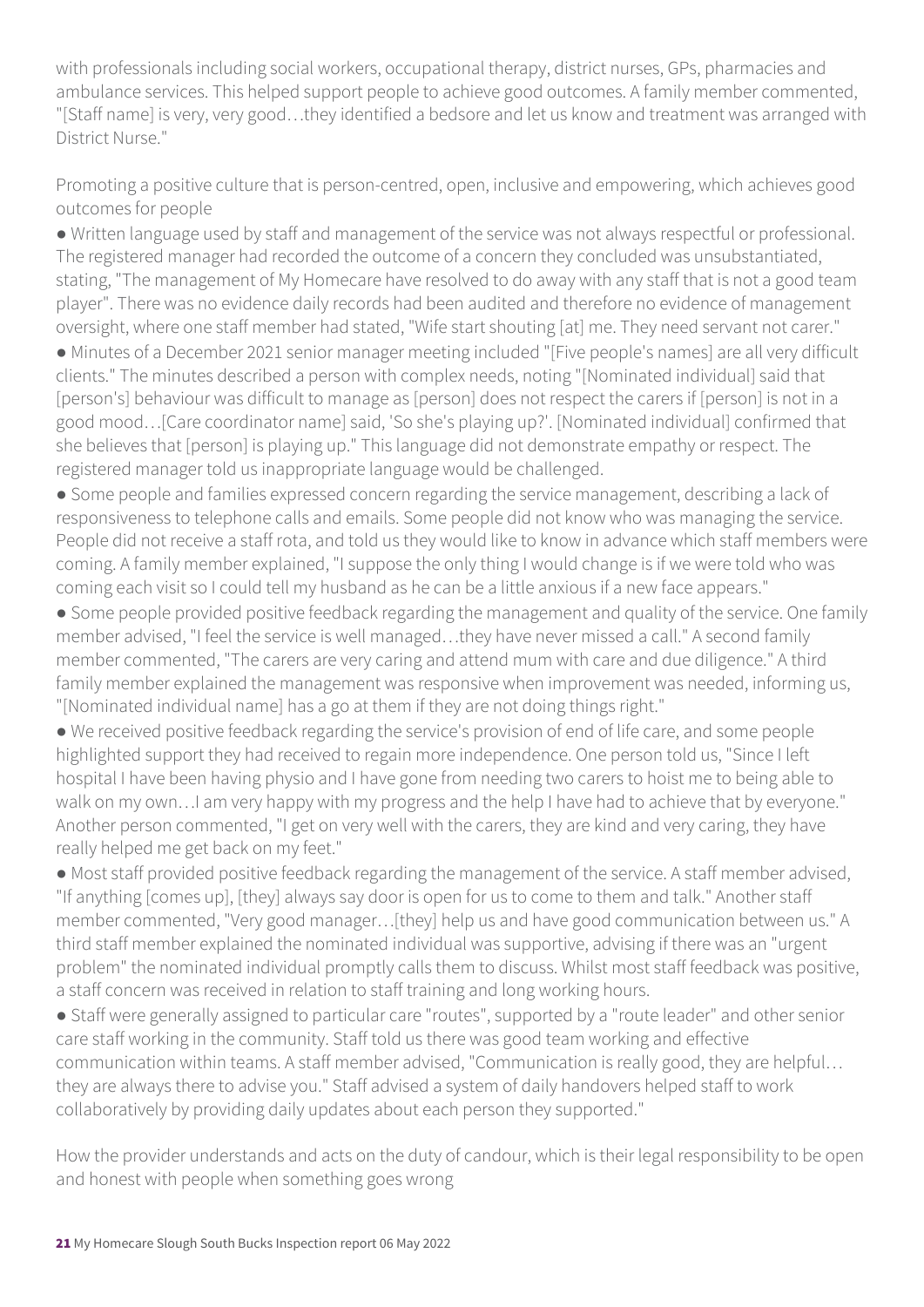with professionals including social workers, occupational therapy, district nurses, GPs, pharmacies and ambulance services. This helped support people to achieve good outcomes. A family member commented, "[Staff name] is very, very good…they identified a bedsore and let us know and treatment was arranged with District Nurse."

Promoting a positive culture that is person-centred, open, inclusive and empowering, which achieves good outcomes for people

● Written language used by staff and management of the service was not always respectful or professional. The registered manager had recorded the outcome of a concern they concluded was unsubstantiated, stating, "The management of My Homecare have resolved to do away with any staff that is not a good team player". There was no evidence daily records had been audited and therefore no evidence of management oversight, where one staff member had stated, "Wife start shouting [at] me. They need servant not carer."

● Minutes of a December 2021 senior manager meeting included "[Five people's names] are all very difficult clients." The minutes described a person with complex needs, noting "[Nominated individual] said that [person's] behaviour was difficult to manage as [person] does not respect the carers if [person] is not in a good mood…[Care coordinator name] said, 'So she's playing up?'. [Nominated individual] confirmed that she believes that [person] is playing up." This language did not demonstrate empathy or respect. The registered manager told us inappropriate language would be challenged.

● Some people and families expressed concern regarding the service management, describing a lack of responsiveness to telephone calls and emails. Some people did not know who was managing the service. People did not receive a staff rota, and told us they would like to know in advance which staff members were coming. A family member explained, "I suppose the only thing I would change is if we were told who was coming each visit so I could tell my husband as he can be a little anxious if a new face appears."

• Some people provided positive feedback regarding the management and quality of the service. One family member advised, "I feel the service is well managed…they have never missed a call." A second family member commented, "The carers are very caring and attend mum with care and due diligence." A third family member explained the management was responsive when improvement was needed, informing us, "[Nominated individual name] has a go at them if they are not doing things right."

● We received positive feedback regarding the service's provision of end of life care, and some people highlighted support they had received to regain more independence. One person told us, "Since I left hospital I have been having physio and I have gone from needing two carers to hoist me to being able to walk on my own... I am very happy with my progress and the help I have had to achieve that by everyone." Another person commented, "I get on very well with the carers, they are kind and very caring, they have really helped me get back on my feet."

● Most staff provided positive feedback regarding the management of the service. A staff member advised, "If anything [comes up], [they] always say door is open for us to come to them and talk." Another staff member commented, "Very good manager…[they] help us and have good communication between us." A third staff member explained the nominated individual was supportive, advising if there was an "urgent problem" the nominated individual promptly calls them to discuss. Whilst most staff feedback was positive, a staff concern was received in relation to staff training and long working hours.

● Staff were generally assigned to particular care "routes", supported by a "route leader" and other senior care staff working in the community. Staff told us there was good team working and effective communication within teams. A staff member advised, "Communication is really good, they are helpful… they are always there to advise you." Staff advised a system of daily handovers helped staff to work collaboratively by providing daily updates about each person they supported."

How the provider understands and acts on the duty of candour, which is their legal responsibility to be open and honest with people when something goes wrong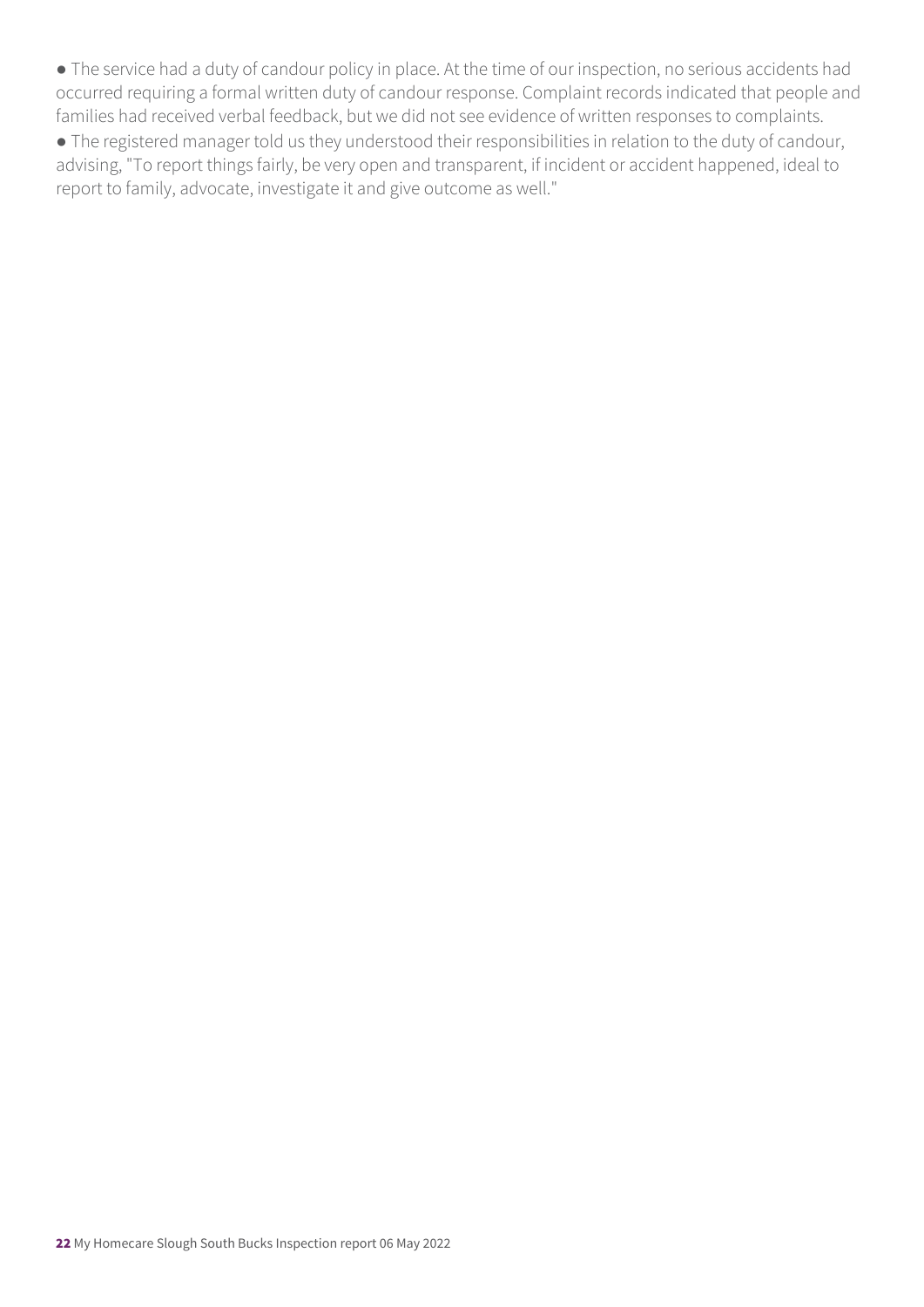● The service had a duty of candour policy in place. At the time of our inspection, no serious accidents had occurred requiring a formal written duty of candour response. Complaint records indicated that people and families had received verbal feedback, but we did not see evidence of written responses to complaints.

● The registered manager told us they understood their responsibilities in relation to the duty of candour, advising, "To report things fairly, be very open and transparent, if incident or accident happened, ideal to report to family, advocate, investigate it and give outcome as well."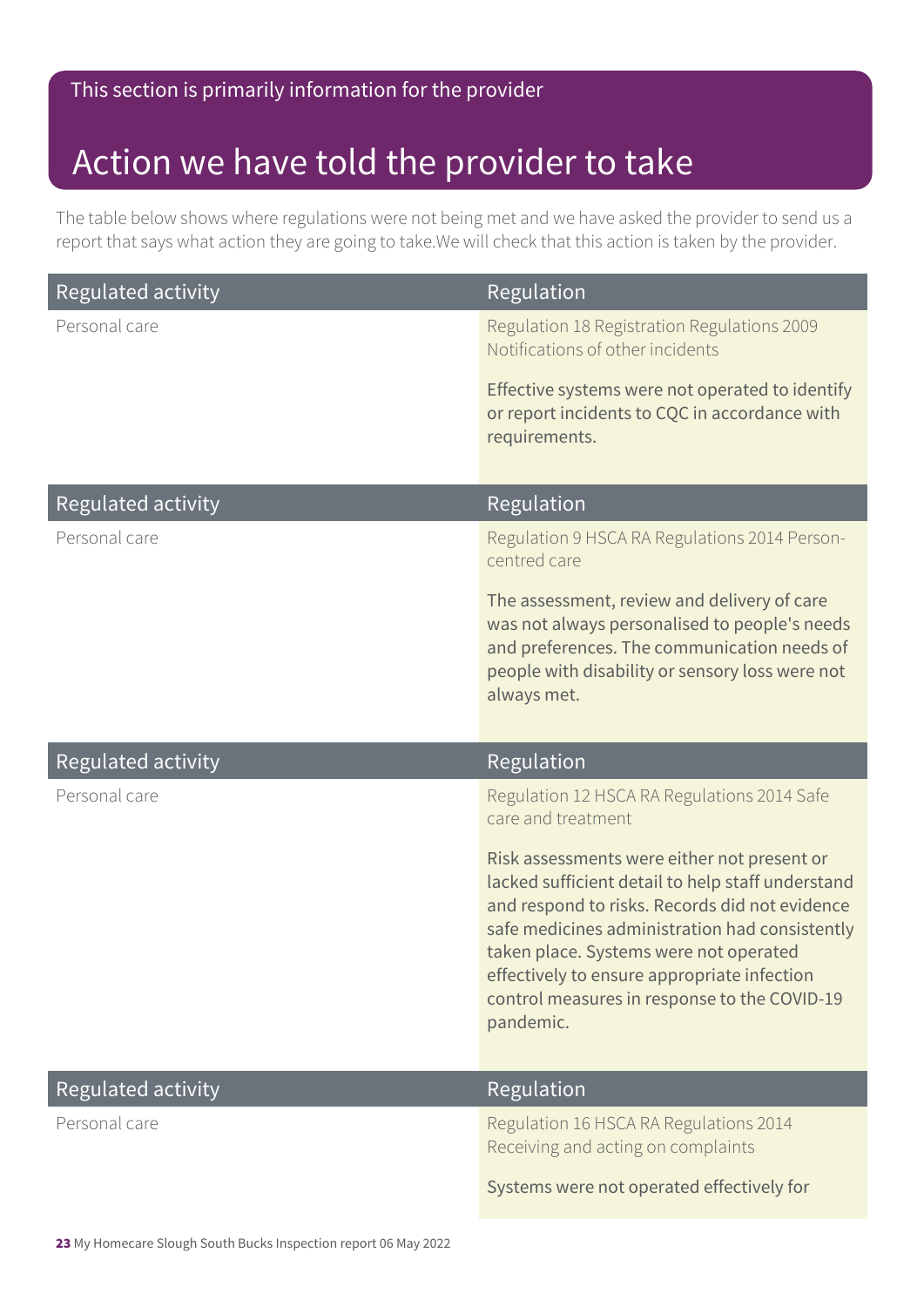#### This section is primarily information for the provider

### Action we have told the provider to take

The table below shows where regulations were not being met and we have asked the provider to send us a report that says what action they are going to take.We will check that this action is taken by the provider.

| <b>Regulated activity</b> | Regulation                                                                                                                                                                                                                                                                                                                                                 |
|---------------------------|------------------------------------------------------------------------------------------------------------------------------------------------------------------------------------------------------------------------------------------------------------------------------------------------------------------------------------------------------------|
| Personal care             | Regulation 18 Registration Regulations 2009<br>Notifications of other incidents                                                                                                                                                                                                                                                                            |
|                           | Effective systems were not operated to identify<br>or report incidents to CQC in accordance with<br>requirements.                                                                                                                                                                                                                                          |
| <b>Regulated activity</b> | Regulation                                                                                                                                                                                                                                                                                                                                                 |
| Personal care             | Regulation 9 HSCA RA Regulations 2014 Person-<br>centred care                                                                                                                                                                                                                                                                                              |
|                           | The assessment, review and delivery of care<br>was not always personalised to people's needs<br>and preferences. The communication needs of<br>people with disability or sensory loss were not<br>always met.                                                                                                                                              |
|                           |                                                                                                                                                                                                                                                                                                                                                            |
| <b>Regulated activity</b> | Regulation                                                                                                                                                                                                                                                                                                                                                 |
| Personal care             | Regulation 12 HSCA RA Regulations 2014 Safe<br>care and treatment                                                                                                                                                                                                                                                                                          |
|                           | Risk assessments were either not present or<br>lacked sufficient detail to help staff understand<br>and respond to risks. Records did not evidence<br>safe medicines administration had consistently<br>taken place. Systems were not operated<br>effectively to ensure appropriate infection<br>control measures in response to the COVID-19<br>pandemic. |
| Regulated activity        | Regulation                                                                                                                                                                                                                                                                                                                                                 |
| Personal care             | Regulation 16 HSCA RA Regulations 2014<br>Receiving and acting on complaints                                                                                                                                                                                                                                                                               |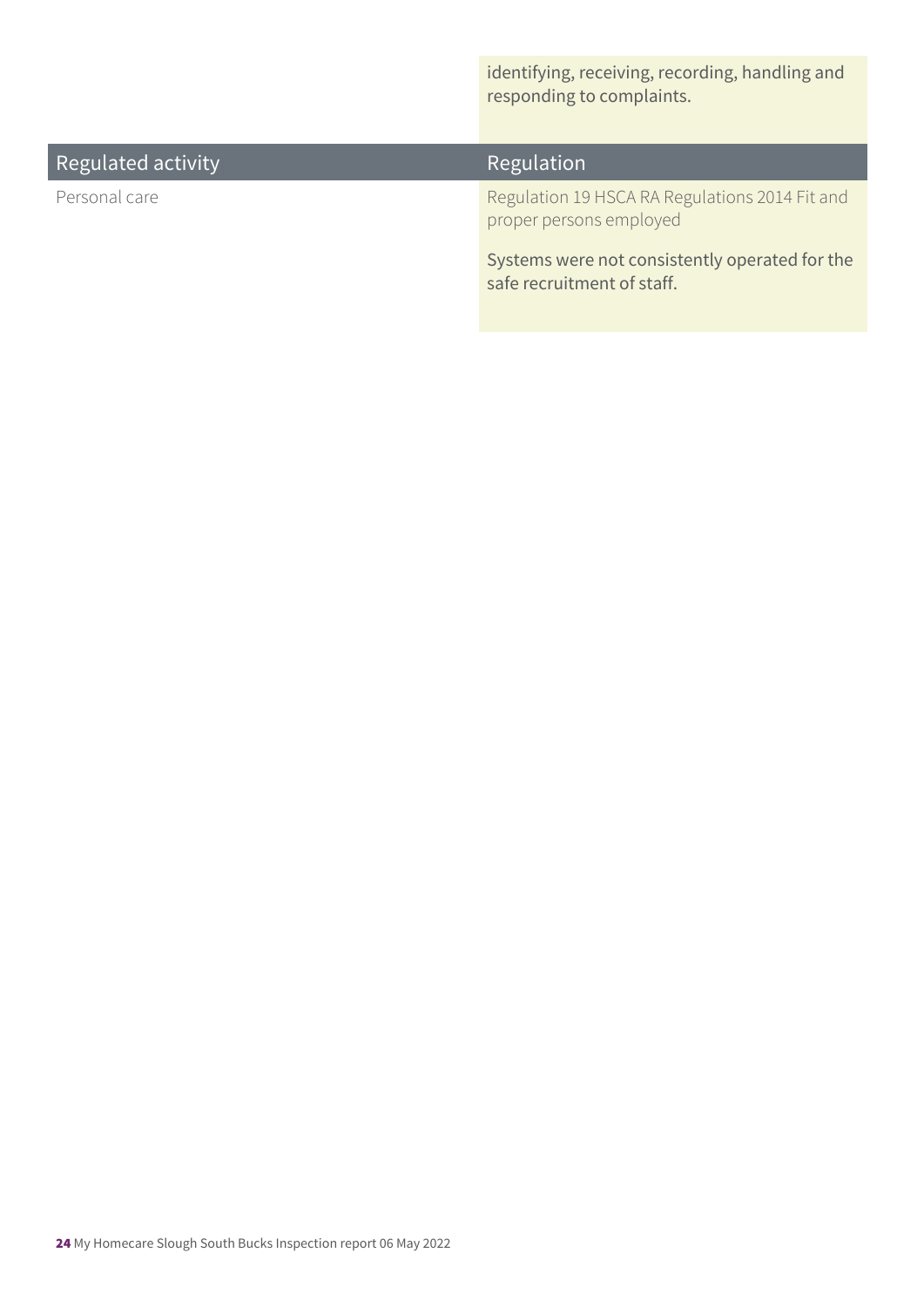identifying, receiving, recording, handling and responding to complaints.

| Regulated activity | Regulation                                                                   |
|--------------------|------------------------------------------------------------------------------|
| Personal care      | Regulation 19 HSCA RA Regulations 2014 Fit and<br>proper persons employed    |
|                    | Systems were not consistently operated for the<br>safe recruitment of staff. |